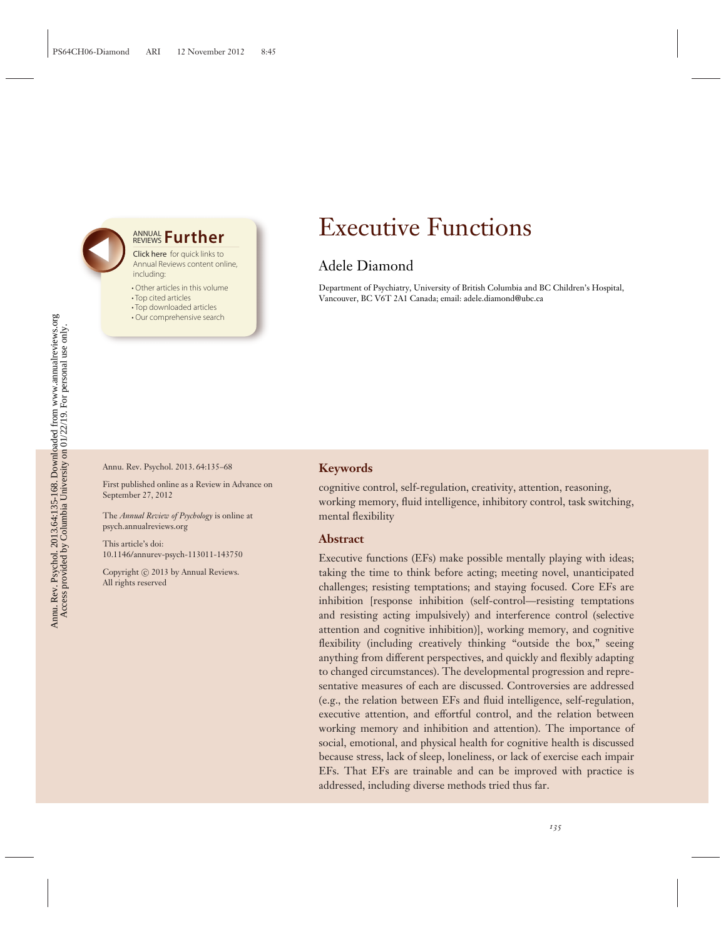# **ANNUAL Further**

Click here for quick links to Annual Reviews content online, including:

- Other articles in this volume
- Top cited articles
- Top downloaded articles
- Our comprehensive search

# Executive Functions

# Adele Diamond

Department of Psychiatry, University of British Columbia and BC Children's Hospital, Vancouver, BC V6T 2A1 Canada; email: adele.diamond@ubc.ca

Annu. Rev. Psychol. 2013. 64:135–68

First published online as a Review in Advance on September 27, 2012

The *Annual Review of Psychology* is online at psych.annualreviews.org

This article's doi: 10.1146/annurev-psych-113011-143750

Copyright © 2013 by Annual Reviews. All rights reserved

#### **Keywords**

cognitive control, self-regulation, creativity, attention, reasoning, working memory, fluid intelligence, inhibitory control, task switching, mental flexibility

#### **Abstract**

Executive functions (EFs) make possible mentally playing with ideas; taking the time to think before acting; meeting novel, unanticipated challenges; resisting temptations; and staying focused. Core EFs are inhibition [response inhibition (self-control—resisting temptations and resisting acting impulsively) and interference control (selective attention and cognitive inhibition)], working memory, and cognitive flexibility (including creatively thinking "outside the box," seeing anything from different perspectives, and quickly and flexibly adapting to changed circumstances). The developmental progression and representative measures of each are discussed. Controversies are addressed (e.g., the relation between EFs and fluid intelligence, self-regulation, executive attention, and effortful control, and the relation between working memory and inhibition and attention). The importance of social, emotional, and physical health for cognitive health is discussed because stress, lack of sleep, loneliness, or lack of exercise each impair EFs. That EFs are trainable and can be improved with practice is addressed, including diverse methods tried thus far.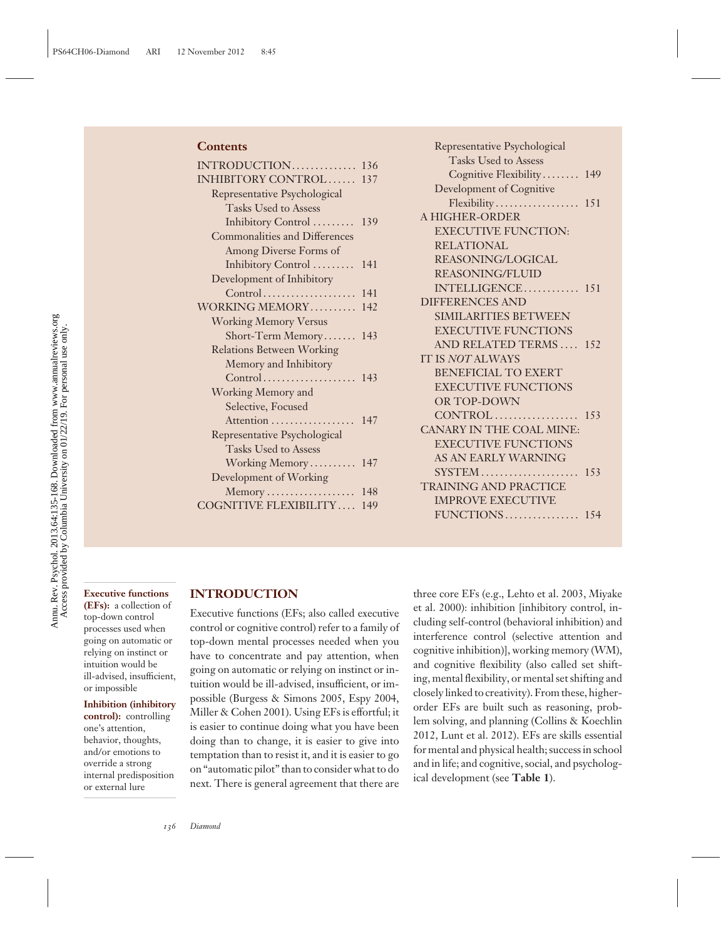#### **Contents**

| INTRODUCTION                         | 136 |
|--------------------------------------|-----|
| INHIBITORY CONTROL                   | 137 |
| Representative Psychological         |     |
| <b>Tasks Used to Assess</b>          |     |
| Inhibitory Control                   | 139 |
| <b>Commonalities and Differences</b> |     |
| Among Diverse Forms of               |     |
| Inhibitory Control                   | 141 |
| Development of Inhibitory            |     |
| Control                              | 141 |
| WORKING MEMORY                       | 142 |
| <b>Working Memory Versus</b>         |     |
| Short-Term Memory                    | 143 |
| <b>Relations Between Working</b>     |     |
| Memory and Inhibitory                |     |
|                                      | 143 |
| Working Memory and                   |     |
| Selective, Focused                   |     |
| Attention                            | 147 |
| Representative Psychological         |     |
| <b>Tasks Used to Assess</b>          |     |
| Working Memory                       | 147 |
| Development of Working               |     |
| Memory                               | 148 |
| <b>COGNITIVE FLEXIBILITY</b>         | 149 |

| Representative Psychological    |     |
|---------------------------------|-----|
| <b>Tasks Used to Assess</b>     |     |
| Cognitive Flexibility 149       |     |
| Development of Cognitive        |     |
| Flexibility 151                 |     |
| A HIGHER-ORDER                  |     |
| <b>EXECUTIVE FUNCTION:</b>      |     |
| <b>RELATIONAL</b>               |     |
| REASONING/LOGICAL               |     |
| <b>REASONING/FLUID</b>          |     |
| INTELLIGENCE 151                |     |
| <b>DIFFERENCES AND</b>          |     |
| SIMILARITIES BETWEEN            |     |
| <b>EXECUTIVE FUNCTIONS</b>      |     |
| AND RELATED TERMS 152           |     |
| <b>IT IS NOT ALWAYS</b>         |     |
| <b>BENEFICIAL TO EXERT</b>      |     |
| <b>EXECUTIVE FUNCTIONS</b>      |     |
| OR TOP-DOWN                     |     |
| CONTROL                         | 153 |
| <b>CANARY IN THE COAL MINE:</b> |     |
| <b>EXECUTIVE FUNCTIONS</b>      |     |
| AS AN EARLY WARNING             |     |
|                                 |     |
| <b>TRAINING AND PRACTICE</b>    |     |
| <b>IMPROVE EXECUTIVE</b>        |     |
|                                 |     |

# **Executive functions**

**(EFs):** a collection of top-down control processes used when going on automatic or relying on instinct or intuition would be ill-advised, insufficient, or impossible

**Inhibition (inhibitory control):** controlling one's attention, behavior, thoughts, and/or emotions to override a strong internal predisposition or external lure

### **INTRODUCTION**

Executive functions (EFs; also called executive control or cognitive control) refer to a family of top-down mental processes needed when you have to concentrate and pay attention, when going on automatic or relying on instinct or intuition would be ill-advised, insufficient, or impossible (Burgess & Simons 2005, Espy 2004, Miller & Cohen 2001). Using EFs is effortful; it is easier to continue doing what you have been doing than to change, it is easier to give into temptation than to resist it, and it is easier to go on "automatic pilot" than to consider what to do next. There is general agreement that there are

three core EFs (e.g., Lehto et al. 2003, Miyake et al. 2000): inhibition [inhibitory control, including self-control (behavioral inhibition) and interference control (selective attention and cognitive inhibition)], working memory (WM), and cognitive flexibility (also called set shifting, mental flexibility, or mental set shifting and closely linked to creativity). From these, higherorder EFs are built such as reasoning, problem solving, and planning (Collins & Koechlin 2012, Lunt et al. 2012). EFs are skills essential for mental and physical health; success in school and in life; and cognitive, social, and psychological development (see **Table 1**).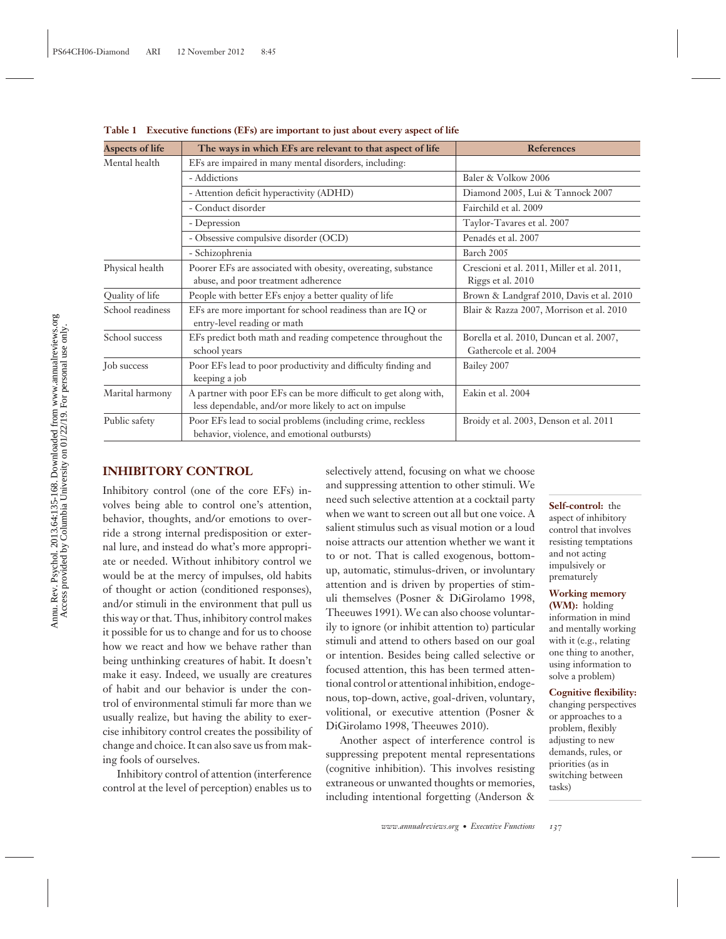| <b>Aspects of life</b> | The ways in which EFs are relevant to that aspect of life                                                                 | <b>References</b>                                                  |
|------------------------|---------------------------------------------------------------------------------------------------------------------------|--------------------------------------------------------------------|
| Mental health          | EFs are impaired in many mental disorders, including:                                                                     |                                                                    |
|                        | - Addictions                                                                                                              | Baler & Volkow 2006                                                |
|                        | - Attention deficit hyperactivity (ADHD)                                                                                  | Diamond 2005, Lui & Tannock 2007                                   |
|                        | - Conduct disorder                                                                                                        | Fairchild et al. 2009                                              |
|                        | - Depression                                                                                                              | Taylor-Tavares et al. 2007                                         |
|                        | - Obsessive compulsive disorder (OCD)                                                                                     | Penadés et al. 2007                                                |
|                        | - Schizophrenia                                                                                                           | Barch 2005                                                         |
| Physical health        | Poorer EFs are associated with obesity, overeating, substance<br>abuse, and poor treatment adherence                      | Crescioni et al. 2011, Miller et al. 2011,<br>Riggs et al. 2010    |
| Quality of life        | People with better EFs enjoy a better quality of life                                                                     | Brown & Landgraf 2010, Davis et al. 2010                           |
| School readiness       | EFs are more important for school readiness than are IQ or<br>entry-level reading or math                                 | Blair & Razza 2007, Morrison et al. 2010                           |
| School success         | EFs predict both math and reading competence throughout the<br>school years                                               | Borella et al. 2010, Duncan et al. 2007,<br>Gathercole et al. 2004 |
| Job success            | Poor EFs lead to poor productivity and difficulty finding and<br>keeping a job                                            | Bailey 2007                                                        |
| Marital harmony        | A partner with poor EFs can be more difficult to get along with,<br>less dependable, and/or more likely to act on impulse | Eakin et al. 2004                                                  |
| Public safety          | Poor EFs lead to social problems (including crime, reckless<br>behavior, violence, and emotional outbursts)               | Broidy et al. 2003, Denson et al. 2011                             |

**Table 1 Executive functions (EFs) are important to just about every aspect of life**

#### **INHIBITORY CONTROL**

Inhibitory control (one of the core EFs) involves being able to control one's attention, behavior, thoughts, and/or emotions to override a strong internal predisposition or external lure, and instead do what's more appropriate or needed. Without inhibitory control we would be at the mercy of impulses, old habits of thought or action (conditioned responses), and/or stimuli in the environment that pull us this way or that. Thus, inhibitory control makes it possible for us to change and for us to choose how we react and how we behave rather than being unthinking creatures of habit. It doesn't make it easy. Indeed, we usually are creatures of habit and our behavior is under the control of environmental stimuli far more than we usually realize, but having the ability to exercise inhibitory control creates the possibility of change and choice. It can also save us from making fools of ourselves.

Inhibitory control of attention (interference control at the level of perception) enables us to

selectively attend, focusing on what we choose and suppressing attention to other stimuli. We need such selective attention at a cocktail party when we want to screen out all but one voice. A salient stimulus such as visual motion or a loud noise attracts our attention whether we want it to or not. That is called exogenous, bottomup, automatic, stimulus-driven, or involuntary attention and is driven by properties of stimuli themselves (Posner & DiGirolamo 1998, Theeuwes 1991). We can also choose voluntarily to ignore (or inhibit attention to) particular stimuli and attend to others based on our goal or intention. Besides being called selective or focused attention, this has been termed attentional control or attentional inhibition, endogenous, top-down, active, goal-driven, voluntary, volitional, or executive attention (Posner & DiGirolamo 1998, Theeuwes 2010).

Another aspect of interference control is suppressing prepotent mental representations (cognitive inhibition). This involves resisting extraneous or unwanted thoughts or memories, including intentional forgetting (Anderson &

**Self-control:** the aspect of inhibitory control that involves resisting temptations and not acting impulsively or prematurely

**Working memory (WM):** holding information in mind and mentally working with it (e.g., relating one thing to another, using information to solve a problem)

#### **Cognitive flexibility:**

changing perspectives or approaches to a problem, flexibly adjusting to new demands, rules, or priorities (as in switching between tasks)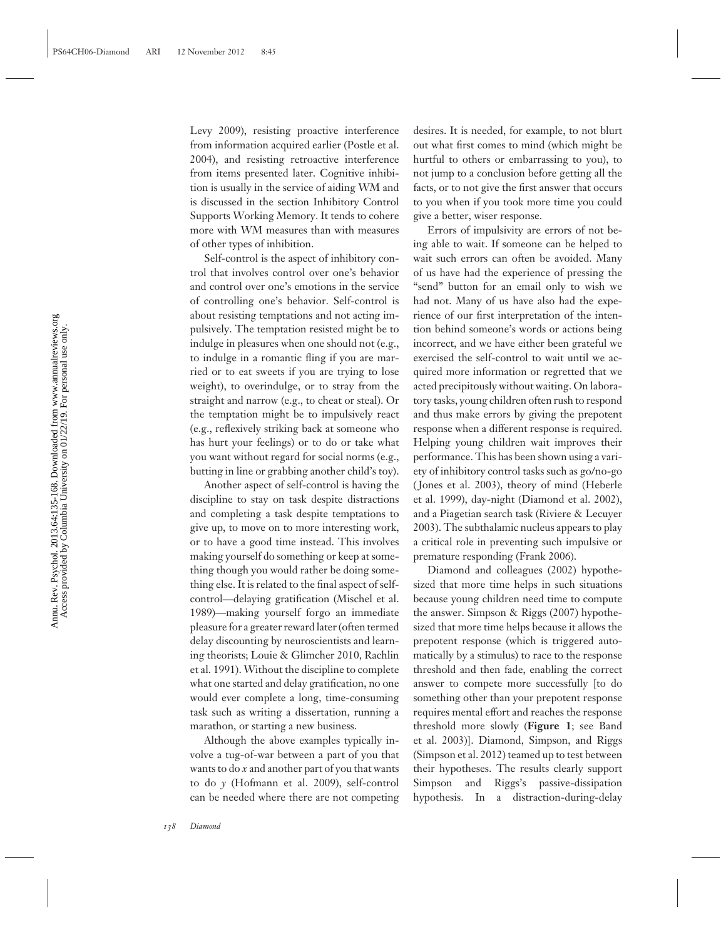*138 Diamond*

Levy 2009), resisting proactive interference from information acquired earlier (Postle et al. 2004), and resisting retroactive interference from items presented later. Cognitive inhibition is usually in the service of aiding WM and is discussed in the section Inhibitory Control Supports Working Memory. It tends to cohere more with WM measures than with measures of other types of inhibition.

Self-control is the aspect of inhibitory control that involves control over one's behavior and control over one's emotions in the service of controlling one's behavior. Self-control is about resisting temptations and not acting impulsively. The temptation resisted might be to indulge in pleasures when one should not (e.g., to indulge in a romantic fling if you are married or to eat sweets if you are trying to lose weight), to overindulge, or to stray from the straight and narrow (e.g., to cheat or steal). Or the temptation might be to impulsively react (e.g., reflexively striking back at someone who has hurt your feelings) or to do or take what you want without regard for social norms (e.g., butting in line or grabbing another child's toy).

Another aspect of self-control is having the discipline to stay on task despite distractions and completing a task despite temptations to give up, to move on to more interesting work, or to have a good time instead. This involves making yourself do something or keep at something though you would rather be doing something else. It is related to the final aspect of selfcontrol—delaying gratification (Mischel et al. 1989)—making yourself forgo an immediate pleasure for a greater reward later (often termed delay discounting by neuroscientists and learning theorists; Louie & Glimcher 2010, Rachlin et al. 1991). Without the discipline to complete what one started and delay gratification, no one would ever complete a long, time-consuming task such as writing a dissertation, running a marathon, or starting a new business.

Although the above examples typically involve a tug-of-war between a part of you that wants to do *x* and another part of you that wants to do *y* (Hofmann et al. 2009), self-control can be needed where there are not competing desires. It is needed, for example, to not blurt out what first comes to mind (which might be hurtful to others or embarrassing to you), to not jump to a conclusion before getting all the facts, or to not give the first answer that occurs to you when if you took more time you could give a better, wiser response.

Errors of impulsivity are errors of not being able to wait. If someone can be helped to wait such errors can often be avoided. Many of us have had the experience of pressing the "send" button for an email only to wish we had not. Many of us have also had the experience of our first interpretation of the intention behind someone's words or actions being incorrect, and we have either been grateful we exercised the self-control to wait until we acquired more information or regretted that we acted precipitously without waiting. On laboratory tasks, young children often rush to respond and thus make errors by giving the prepotent response when a different response is required. Helping young children wait improves their performance. This has been shown using a variety of inhibitory control tasks such as go/no-go ( Jones et al. 2003), theory of mind (Heberle et al. 1999), day-night (Diamond et al. 2002), and a Piagetian search task (Riviere & Lecuyer 2003). The subthalamic nucleus appears to play a critical role in preventing such impulsive or premature responding (Frank 2006).

Diamond and colleagues (2002) hypothesized that more time helps in such situations because young children need time to compute the answer. Simpson & Riggs (2007) hypothesized that more time helps because it allows the prepotent response (which is triggered automatically by a stimulus) to race to the response threshold and then fade, enabling the correct answer to compete more successfully [to do something other than your prepotent response requires mental effort and reaches the response threshold more slowly (**Figure 1**; see Band et al. 2003)]. Diamond, Simpson, and Riggs (Simpson et al. 2012) teamed up to test between their hypotheses. The results clearly support Simpson and Riggs's passive-dissipation hypothesis. In a distraction-during-delay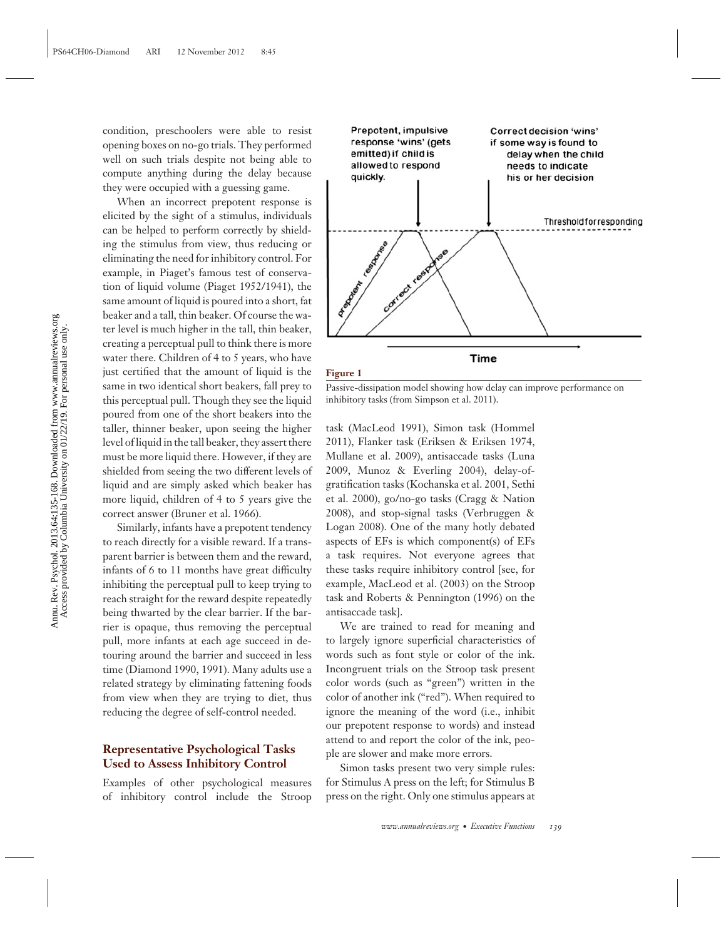condition, preschoolers were able to resist opening boxes on no-go trials. They performed well on such trials despite not being able to compute anything during the delay because they were occupied with a guessing game.

When an incorrect prepotent response is elicited by the sight of a stimulus, individuals can be helped to perform correctly by shielding the stimulus from view, thus reducing or eliminating the need for inhibitory control. For example, in Piaget's famous test of conservation of liquid volume (Piaget 1952/1941), the same amount of liquid is poured into a short, fat beaker and a tall, thin beaker. Of course the water level is much higher in the tall, thin beaker, creating a perceptual pull to think there is more water there. Children of 4 to 5 years, who have just certified that the amount of liquid is the same in two identical short beakers, fall prey to this perceptual pull. Though they see the liquid poured from one of the short beakers into the taller, thinner beaker, upon seeing the higher level of liquid in the tall beaker, they assert there must be more liquid there. However, if they are shielded from seeing the two different levels of liquid and are simply asked which beaker has more liquid, children of 4 to 5 years give the correct answer (Bruner et al. 1966).

Similarly, infants have a prepotent tendency to reach directly for a visible reward. If a transparent barrier is between them and the reward, infants of 6 to 11 months have great difficulty inhibiting the perceptual pull to keep trying to reach straight for the reward despite repeatedly being thwarted by the clear barrier. If the barrier is opaque, thus removing the perceptual pull, more infants at each age succeed in detouring around the barrier and succeed in less time (Diamond 1990, 1991). Many adults use a related strategy by eliminating fattening foods from view when they are trying to diet, thus reducing the degree of self-control needed.

#### **Representative Psychological Tasks Used to Assess Inhibitory Control**

Examples of other psychological measures of inhibitory control include the Stroop



Passive-dissipation model showing how delay can improve performance on inhibitory tasks (from Simpson et al. 2011).

task (MacLeod 1991), Simon task (Hommel 2011), Flanker task (Eriksen & Eriksen 1974, Mullane et al. 2009), antisaccade tasks (Luna 2009, Munoz & Everling 2004), delay-ofgratification tasks (Kochanska et al. 2001, Sethi et al. 2000), go/no-go tasks (Cragg & Nation 2008), and stop-signal tasks (Verbruggen & Logan 2008). One of the many hotly debated aspects of EFs is which component(s) of EFs a task requires. Not everyone agrees that these tasks require inhibitory control [see, for example, MacLeod et al. (2003) on the Stroop task and Roberts & Pennington (1996) on the antisaccade task].

We are trained to read for meaning and to largely ignore superficial characteristics of words such as font style or color of the ink. Incongruent trials on the Stroop task present color words (such as "green") written in the color of another ink ("red"). When required to ignore the meaning of the word (i.e., inhibit our prepotent response to words) and instead attend to and report the color of the ink, people are slower and make more errors.

Simon tasks present two very simple rules: for Stimulus A press on the left; for Stimulus B press on the right. Only one stimulus appears at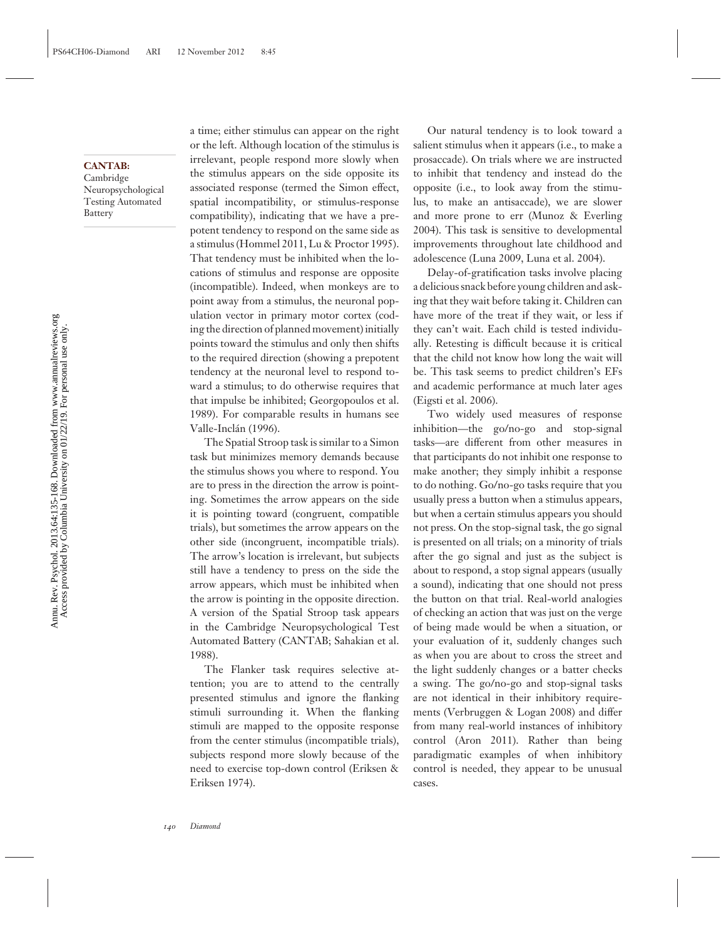#### **CANTAB:**

Cambridge Neuropsychological Testing Automated Battery

a time; either stimulus can appear on the right or the left. Although location of the stimulus is irrelevant, people respond more slowly when the stimulus appears on the side opposite its associated response (termed the Simon effect, spatial incompatibility, or stimulus-response compatibility), indicating that we have a prepotent tendency to respond on the same side as a stimulus (Hommel 2011, Lu & Proctor 1995). That tendency must be inhibited when the locations of stimulus and response are opposite (incompatible). Indeed, when monkeys are to point away from a stimulus, the neuronal population vector in primary motor cortex (coding the direction of planned movement) initially points toward the stimulus and only then shifts to the required direction (showing a prepotent tendency at the neuronal level to respond toward a stimulus; to do otherwise requires that that impulse be inhibited; Georgopoulos et al. 1989). For comparable results in humans see Valle-Inclán (1996).

The Spatial Stroop task is similar to a Simon task but minimizes memory demands because the stimulus shows you where to respond. You are to press in the direction the arrow is pointing. Sometimes the arrow appears on the side it is pointing toward (congruent, compatible trials), but sometimes the arrow appears on the other side (incongruent, incompatible trials). The arrow's location is irrelevant, but subjects still have a tendency to press on the side the arrow appears, which must be inhibited when the arrow is pointing in the opposite direction. A version of the Spatial Stroop task appears in the Cambridge Neuropsychological Test Automated Battery (CANTAB; Sahakian et al. 1988).

The Flanker task requires selective attention; you are to attend to the centrally presented stimulus and ignore the flanking stimuli surrounding it. When the flanking stimuli are mapped to the opposite response from the center stimulus (incompatible trials), subjects respond more slowly because of the need to exercise top-down control (Eriksen & Eriksen 1974).

Our natural tendency is to look toward a salient stimulus when it appears (i.e., to make a prosaccade). On trials where we are instructed to inhibit that tendency and instead do the opposite (i.e., to look away from the stimulus, to make an antisaccade), we are slower and more prone to err (Munoz & Everling 2004). This task is sensitive to developmental improvements throughout late childhood and adolescence (Luna 2009, Luna et al. 2004).

Delay-of-gratification tasks involve placing a delicious snack before young children and asking that they wait before taking it. Children can have more of the treat if they wait, or less if they can't wait. Each child is tested individually. Retesting is difficult because it is critical that the child not know how long the wait will be. This task seems to predict children's EFs and academic performance at much later ages (Eigsti et al. 2006).

Two widely used measures of response inhibition—the go/no-go and stop-signal tasks—are different from other measures in that participants do not inhibit one response to make another; they simply inhibit a response to do nothing. Go/no-go tasks require that you usually press a button when a stimulus appears, but when a certain stimulus appears you should not press. On the stop-signal task, the go signal is presented on all trials; on a minority of trials after the go signal and just as the subject is about to respond, a stop signal appears (usually a sound), indicating that one should not press the button on that trial. Real-world analogies of checking an action that was just on the verge of being made would be when a situation, or your evaluation of it, suddenly changes such as when you are about to cross the street and the light suddenly changes or a batter checks a swing. The go/no-go and stop-signal tasks are not identical in their inhibitory requirements (Verbruggen & Logan 2008) and differ from many real-world instances of inhibitory control (Aron 2011). Rather than being paradigmatic examples of when inhibitory control is needed, they appear to be unusual cases.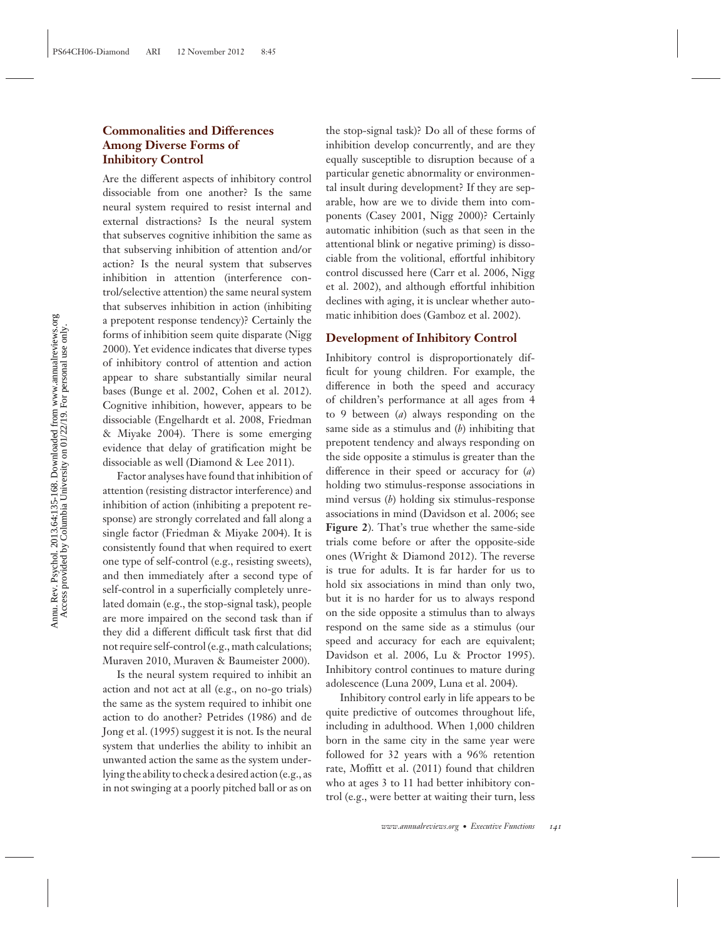#### **Commonalities and Differences Among Diverse Forms of Inhibitory Control**

Are the different aspects of inhibitory control dissociable from one another? Is the same neural system required to resist internal and external distractions? Is the neural system that subserves cognitive inhibition the same as that subserving inhibition of attention and/or action? Is the neural system that subserves inhibition in attention (interference control/selective attention) the same neural system that subserves inhibition in action (inhibiting a prepotent response tendency)? Certainly the forms of inhibition seem quite disparate (Nigg 2000). Yet evidence indicates that diverse types of inhibitory control of attention and action appear to share substantially similar neural bases (Bunge et al. 2002, Cohen et al. 2012). Cognitive inhibition, however, appears to be dissociable (Engelhardt et al. 2008, Friedman & Miyake 2004). There is some emerging evidence that delay of gratification might be dissociable as well (Diamond & Lee 2011).

Factor analyses have found that inhibition of attention (resisting distractor interference) and inhibition of action (inhibiting a prepotent response) are strongly correlated and fall along a single factor (Friedman & Miyake 2004). It is consistently found that when required to exert one type of self-control (e.g., resisting sweets), and then immediately after a second type of self-control in a superficially completely unrelated domain (e.g., the stop-signal task), people are more impaired on the second task than if they did a different difficult task first that did not require self-control (e.g., math calculations; Muraven 2010, Muraven & Baumeister 2000).

Is the neural system required to inhibit an action and not act at all (e.g., on no-go trials) the same as the system required to inhibit one action to do another? Petrides (1986) and de Jong et al. (1995) suggest it is not. Is the neural system that underlies the ability to inhibit an unwanted action the same as the system underlying the ability to check a desired action (e.g., as in not swinging at a poorly pitched ball or as on

the stop-signal task)? Do all of these forms of inhibition develop concurrently, and are they equally susceptible to disruption because of a particular genetic abnormality or environmental insult during development? If they are separable, how are we to divide them into components (Casey 2001, Nigg 2000)? Certainly automatic inhibition (such as that seen in the attentional blink or negative priming) is dissociable from the volitional, effortful inhibitory control discussed here (Carr et al. 2006, Nigg et al. 2002), and although effortful inhibition declines with aging, it is unclear whether automatic inhibition does (Gamboz et al. 2002).

#### **Development of Inhibitory Control**

Inhibitory control is disproportionately difficult for young children. For example, the difference in both the speed and accuracy of children's performance at all ages from 4 to 9 between (*a*) always responding on the same side as a stimulus and (*b*) inhibiting that prepotent tendency and always responding on the side opposite a stimulus is greater than the difference in their speed or accuracy for (*a*) holding two stimulus-response associations in mind versus (*b*) holding six stimulus-response associations in mind (Davidson et al. 2006; see **Figure 2**). That's true whether the same-side trials come before or after the opposite-side ones (Wright & Diamond 2012). The reverse is true for adults. It is far harder for us to hold six associations in mind than only two, but it is no harder for us to always respond on the side opposite a stimulus than to always respond on the same side as a stimulus (our speed and accuracy for each are equivalent; Davidson et al. 2006, Lu & Proctor 1995). Inhibitory control continues to mature during adolescence (Luna 2009, Luna et al. 2004).

Inhibitory control early in life appears to be quite predictive of outcomes throughout life, including in adulthood. When 1,000 children born in the same city in the same year were followed for 32 years with a 96% retention rate, Moffitt et al. (2011) found that children who at ages 3 to 11 had better inhibitory control (e.g., were better at waiting their turn, less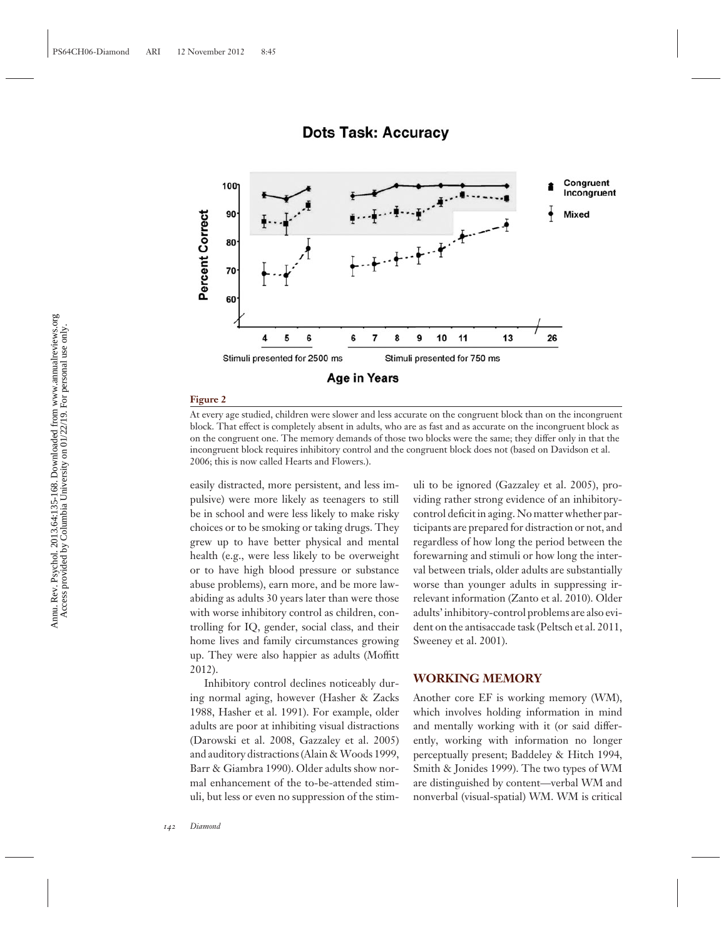

#### **Figure 2**

At every age studied, children were slower and less accurate on the congruent block than on the incongruent block. That effect is completely absent in adults, who are as fast and as accurate on the incongruent block as on the congruent one. The memory demands of those two blocks were the same; they differ only in that the incongruent block requires inhibitory control and the congruent block does not (based on Davidson et al. 2006; this is now called Hearts and Flowers.).

easily distracted, more persistent, and less impulsive) were more likely as teenagers to still be in school and were less likely to make risky choices or to be smoking or taking drugs. They grew up to have better physical and mental health (e.g., were less likely to be overweight or to have high blood pressure or substance abuse problems), earn more, and be more lawabiding as adults 30 years later than were those with worse inhibitory control as children, controlling for IQ, gender, social class, and their home lives and family circumstances growing up. They were also happier as adults (Moffitt 2012).

Inhibitory control declines noticeably during normal aging, however (Hasher & Zacks 1988, Hasher et al. 1991). For example, older adults are poor at inhibiting visual distractions (Darowski et al. 2008, Gazzaley et al. 2005) and auditory distractions (Alain & Woods 1999, Barr & Giambra 1990). Older adults show normal enhancement of the to-be-attended stimuli, but less or even no suppression of the stimuli to be ignored (Gazzaley et al. 2005), providing rather strong evidence of an inhibitorycontrol deficit in aging. No matter whether participants are prepared for distraction or not, and regardless of how long the period between the forewarning and stimuli or how long the interval between trials, older adults are substantially worse than younger adults in suppressing irrelevant information (Zanto et al. 2010). Older adults' inhibitory-control problems are also evident on the antisaccade task (Peltsch et al. 2011, Sweeney et al. 2001).

#### **WORKING MEMORY**

Another core EF is working memory (WM), which involves holding information in mind and mentally working with it (or said differently, working with information no longer perceptually present; Baddeley & Hitch 1994, Smith & Jonides 1999). The two types of WM are distinguished by content—verbal WM and nonverbal (visual-spatial) WM. WM is critical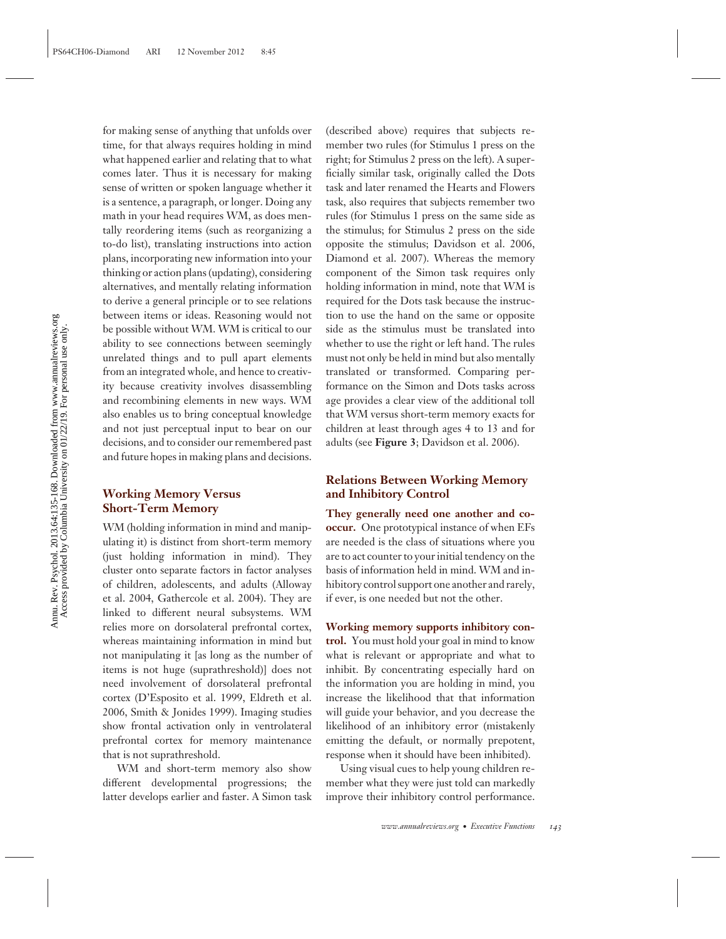for making sense of anything that unfolds over time, for that always requires holding in mind what happened earlier and relating that to what comes later. Thus it is necessary for making sense of written or spoken language whether it is a sentence, a paragraph, or longer. Doing any math in your head requires WM, as does mentally reordering items (such as reorganizing a to-do list), translating instructions into action plans, incorporating new information into your thinking or action plans (updating), considering alternatives, and mentally relating information to derive a general principle or to see relations between items or ideas. Reasoning would not be possible without WM. WM is critical to our ability to see connections between seemingly unrelated things and to pull apart elements from an integrated whole, and hence to creativity because creativity involves disassembling and recombining elements in new ways. WM also enables us to bring conceptual knowledge and not just perceptual input to bear on our decisions, and to consider our remembered past and future hopes in making plans and decisions.

#### **Working Memory Versus Short-Term Memory**

WM (holding information in mind and manipulating it) is distinct from short-term memory (just holding information in mind). They cluster onto separate factors in factor analyses of children, adolescents, and adults (Alloway et al. 2004, Gathercole et al. 2004). They are linked to different neural subsystems. WM relies more on dorsolateral prefrontal cortex, whereas maintaining information in mind but not manipulating it [as long as the number of items is not huge (suprathreshold)] does not need involvement of dorsolateral prefrontal cortex (D'Esposito et al. 1999, Eldreth et al. 2006, Smith & Jonides 1999). Imaging studies show frontal activation only in ventrolateral prefrontal cortex for memory maintenance that is not suprathreshold.

WM and short-term memory also show different developmental progressions; the latter develops earlier and faster. A Simon task (described above) requires that subjects remember two rules (for Stimulus 1 press on the right; for Stimulus 2 press on the left). A superficially similar task, originally called the Dots task and later renamed the Hearts and Flowers task, also requires that subjects remember two rules (for Stimulus 1 press on the same side as the stimulus; for Stimulus 2 press on the side opposite the stimulus; Davidson et al. 2006, Diamond et al. 2007). Whereas the memory component of the Simon task requires only holding information in mind, note that WM is required for the Dots task because the instruction to use the hand on the same or opposite side as the stimulus must be translated into whether to use the right or left hand. The rules must not only be held in mind but also mentally translated or transformed. Comparing performance on the Simon and Dots tasks across age provides a clear view of the additional toll that WM versus short-term memory exacts for children at least through ages 4 to 13 and for adults (see **Figure 3**; Davidson et al. 2006).

#### **Relations Between Working Memory and Inhibitory Control**

**They generally need one another and cooccur.** One prototypical instance of when EFs are needed is the class of situations where you are to act counter to your initial tendency on the basis of information held in mind. WM and inhibitory control support one another and rarely, if ever, is one needed but not the other.

**Working memory supports inhibitory control.** You must hold your goal in mind to know what is relevant or appropriate and what to inhibit. By concentrating especially hard on the information you are holding in mind, you increase the likelihood that that information will guide your behavior, and you decrease the likelihood of an inhibitory error (mistakenly emitting the default, or normally prepotent, response when it should have been inhibited).

Using visual cues to help young children remember what they were just told can markedly improve their inhibitory control performance.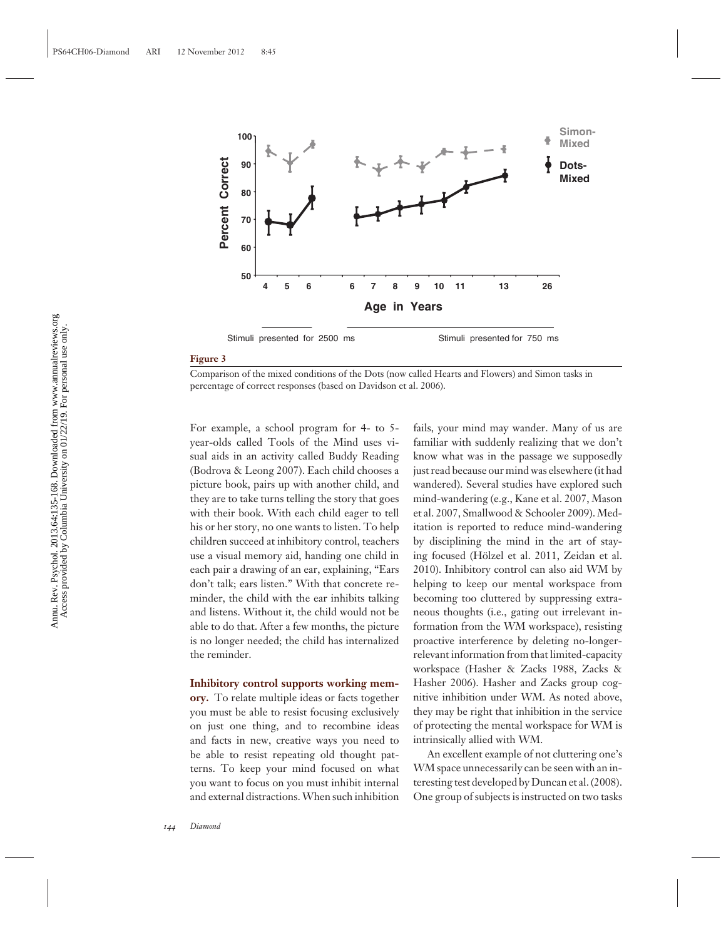

Comparison of the mixed conditions of the Dots (now called Hearts and Flowers) and Simon tasks in percentage of correct responses (based on Davidson et al. 2006).

For example, a school program for 4- to 5 year-olds called Tools of the Mind uses visual aids in an activity called Buddy Reading (Bodrova & Leong 2007). Each child chooses a picture book, pairs up with another child, and they are to take turns telling the story that goes with their book. With each child eager to tell his or her story, no one wants to listen. To help children succeed at inhibitory control, teachers use a visual memory aid, handing one child in each pair a drawing of an ear, explaining, "Ears don't talk; ears listen." With that concrete reminder, the child with the ear inhibits talking and listens. Without it, the child would not be able to do that. After a few months, the picture is no longer needed; the child has internalized the reminder.

#### **Inhibitory control supports working mem-**

**ory.** To relate multiple ideas or facts together you must be able to resist focusing exclusively on just one thing, and to recombine ideas and facts in new, creative ways you need to be able to resist repeating old thought patterns. To keep your mind focused on what you want to focus on you must inhibit internal and external distractions. When such inhibition

fails, your mind may wander. Many of us are familiar with suddenly realizing that we don't know what was in the passage we supposedly just read because our mind was elsewhere (it had wandered). Several studies have explored such mind-wandering (e.g., Kane et al. 2007, Mason et al. 2007, Smallwood & Schooler 2009). Meditation is reported to reduce mind-wandering by disciplining the mind in the art of staying focused (Hölzel et al. 2011, Zeidan et al. 2010). Inhibitory control can also aid WM by helping to keep our mental workspace from becoming too cluttered by suppressing extraneous thoughts (i.e., gating out irrelevant information from the WM workspace), resisting proactive interference by deleting no-longerrelevant information from that limited-capacity workspace (Hasher & Zacks 1988, Zacks & Hasher 2006). Hasher and Zacks group cognitive inhibition under WM. As noted above, they may be right that inhibition in the service of protecting the mental workspace for WM is intrinsically allied with WM.

An excellent example of not cluttering one's WM space unnecessarily can be seen with an interesting test developed by Duncan et al. (2008). One group of subjects is instructed on two tasks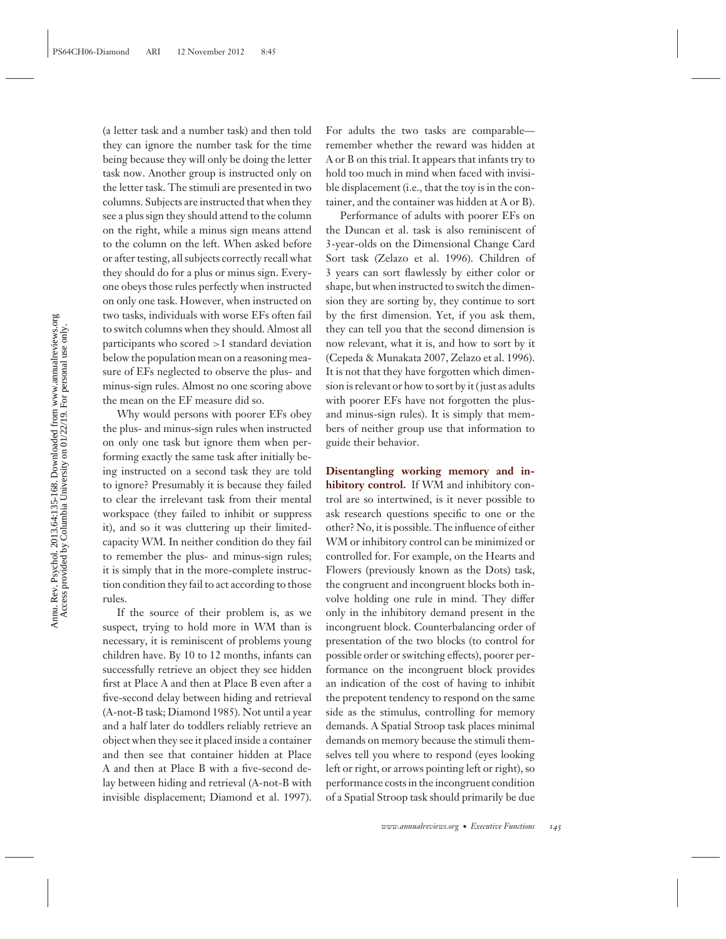(a letter task and a number task) and then told they can ignore the number task for the time being because they will only be doing the letter task now. Another group is instructed only on the letter task. The stimuli are presented in two columns. Subjects are instructed that when they see a plus sign they should attend to the column on the right, while a minus sign means attend to the column on the left. When asked before or after testing, all subjects correctly recall what they should do for a plus or minus sign. Everyone obeys those rules perfectly when instructed on only one task. However, when instructed on two tasks, individuals with worse EFs often fail to switch columns when they should. Almost all participants who scored >1 standard deviation below the population mean on a reasoning measure of EFs neglected to observe the plus- and minus-sign rules. Almost no one scoring above the mean on the EF measure did so.

Why would persons with poorer EFs obey the plus- and minus-sign rules when instructed on only one task but ignore them when performing exactly the same task after initially being instructed on a second task they are told to ignore? Presumably it is because they failed to clear the irrelevant task from their mental workspace (they failed to inhibit or suppress it), and so it was cluttering up their limitedcapacity WM. In neither condition do they fail to remember the plus- and minus-sign rules; it is simply that in the more-complete instruction condition they fail to act according to those rules.

If the source of their problem is, as we suspect, trying to hold more in WM than is necessary, it is reminiscent of problems young children have. By 10 to 12 months, infants can successfully retrieve an object they see hidden first at Place A and then at Place B even after a five-second delay between hiding and retrieval (A-not-B task; Diamond 1985). Not until a year and a half later do toddlers reliably retrieve an object when they see it placed inside a container and then see that container hidden at Place A and then at Place B with a five-second delay between hiding and retrieval (A-not-B with invisible displacement; Diamond et al. 1997).

For adults the two tasks are comparable remember whether the reward was hidden at A or B on this trial. It appears that infants try to hold too much in mind when faced with invisible displacement (i.e., that the toy is in the container, and the container was hidden at A or B).

Performance of adults with poorer EFs on the Duncan et al. task is also reminiscent of 3-year-olds on the Dimensional Change Card Sort task (Zelazo et al. 1996). Children of 3 years can sort flawlessly by either color or shape, but when instructed to switch the dimension they are sorting by, they continue to sort by the first dimension. Yet, if you ask them, they can tell you that the second dimension is now relevant, what it is, and how to sort by it (Cepeda & Munakata 2007, Zelazo et al. 1996). It is not that they have forgotten which dimension is relevant or how to sort by it (just as adults with poorer EFs have not forgotten the plusand minus-sign rules). It is simply that members of neither group use that information to guide their behavior.

**Disentangling working memory and inhibitory control.** If WM and inhibitory control are so intertwined, is it never possible to ask research questions specific to one or the other? No, it is possible. The influence of either WM or inhibitory control can be minimized or controlled for. For example, on the Hearts and Flowers (previously known as the Dots) task, the congruent and incongruent blocks both involve holding one rule in mind. They differ only in the inhibitory demand present in the incongruent block. Counterbalancing order of presentation of the two blocks (to control for possible order or switching effects), poorer performance on the incongruent block provides an indication of the cost of having to inhibit the prepotent tendency to respond on the same side as the stimulus, controlling for memory demands. A Spatial Stroop task places minimal demands on memory because the stimuli themselves tell you where to respond (eyes looking left or right, or arrows pointing left or right), so performance costs in the incongruent condition of a Spatial Stroop task should primarily be due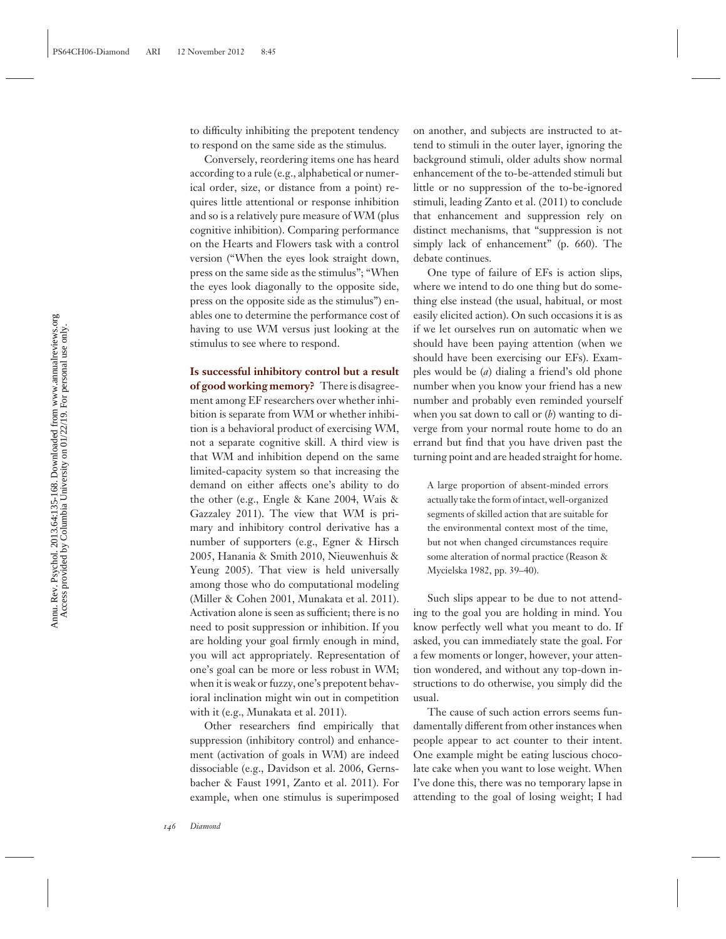to difficulty inhibiting the prepotent tendency to respond on the same side as the stimulus.

Conversely, reordering items one has heard according to a rule (e.g., alphabetical or numerical order, size, or distance from a point) requires little attentional or response inhibition and so is a relatively pure measure of WM (plus cognitive inhibition). Comparing performance on the Hearts and Flowers task with a control version ("When the eyes look straight down, press on the same side as the stimulus"; "When the eyes look diagonally to the opposite side, press on the opposite side as the stimulus") enables one to determine the performance cost of having to use WM versus just looking at the stimulus to see where to respond.

**Is successful inhibitory control but a result of good working memory?** There is disagreement among EF researchers over whether inhibition is separate from WM or whether inhibition is a behavioral product of exercising WM, not a separate cognitive skill. A third view is that WM and inhibition depend on the same limited-capacity system so that increasing the demand on either affects one's ability to do the other (e.g., Engle & Kane 2004, Wais & Gazzaley 2011). The view that WM is primary and inhibitory control derivative has a number of supporters (e.g., Egner & Hirsch 2005, Hanania & Smith 2010, Nieuwenhuis & Yeung 2005). That view is held universally among those who do computational modeling (Miller & Cohen 2001, Munakata et al. 2011). Activation alone is seen as sufficient; there is no need to posit suppression or inhibition. If you are holding your goal firmly enough in mind, you will act appropriately. Representation of one's goal can be more or less robust in WM; when it is weak or fuzzy, one's prepotent behavioral inclination might win out in competition with it (e.g., Munakata et al. 2011).

Other researchers find empirically that suppression (inhibitory control) and enhancement (activation of goals in WM) are indeed dissociable (e.g., Davidson et al. 2006, Gernsbacher & Faust 1991, Zanto et al. 2011). For example, when one stimulus is superimposed

on another, and subjects are instructed to attend to stimuli in the outer layer, ignoring the background stimuli, older adults show normal enhancement of the to-be-attended stimuli but little or no suppression of the to-be-ignored stimuli, leading Zanto et al. (2011) to conclude that enhancement and suppression rely on distinct mechanisms, that "suppression is not simply lack of enhancement" (p. 660). The debate continues.

One type of failure of EFs is action slips, where we intend to do one thing but do something else instead (the usual, habitual, or most easily elicited action). On such occasions it is as if we let ourselves run on automatic when we should have been paying attention (when we should have been exercising our EFs). Examples would be (*a*) dialing a friend's old phone number when you know your friend has a new number and probably even reminded yourself when you sat down to call or (*b*) wanting to diverge from your normal route home to do an errand but find that you have driven past the turning point and are headed straight for home.

A large proportion of absent-minded errors actually take the form of intact, well-organized segments of skilled action that are suitable for the environmental context most of the time, but not when changed circumstances require some alteration of normal practice (Reason & Mycielska 1982, pp. 39–40).

Such slips appear to be due to not attending to the goal you are holding in mind. You know perfectly well what you meant to do. If asked, you can immediately state the goal. For a few moments or longer, however, your attention wondered, and without any top-down instructions to do otherwise, you simply did the usual.

The cause of such action errors seems fundamentally different from other instances when people appear to act counter to their intent. One example might be eating luscious chocolate cake when you want to lose weight. When I've done this, there was no temporary lapse in attending to the goal of losing weight; I had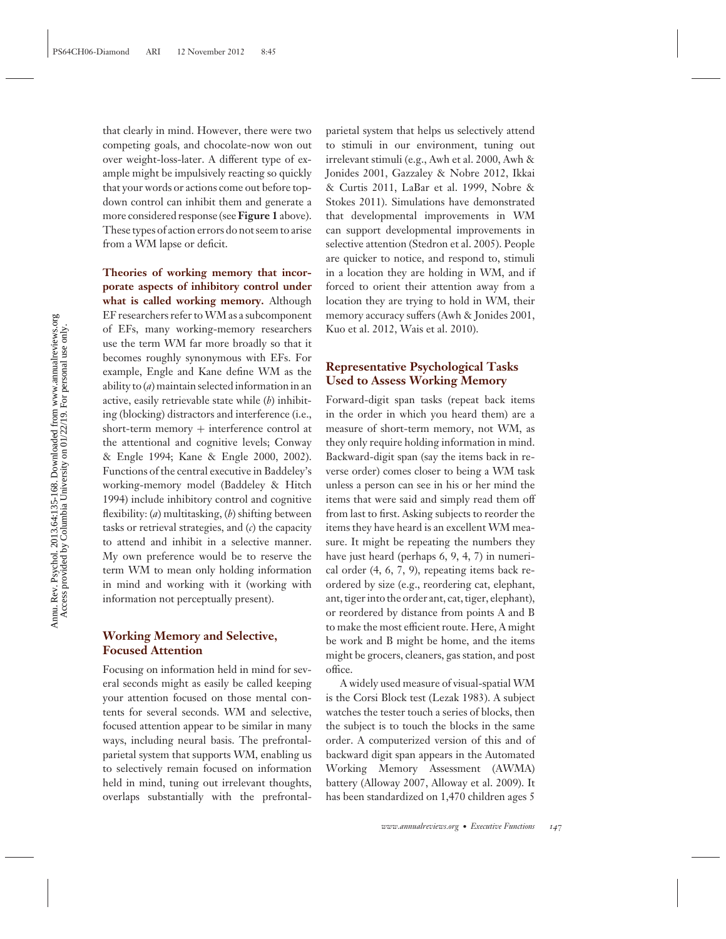that clearly in mind. However, there were two competing goals, and chocolate-now won out over weight-loss-later. A different type of example might be impulsively reacting so quickly that your words or actions come out before topdown control can inhibit them and generate a more considered response (see **Figure 1** above). These types of action errors do not seem to arise from a WM lapse or deficit.

**Theories of working memory that incorporate aspects of inhibitory control under what is called working memory.** Although EF researchers refer to WM as a subcomponent of EFs, many working-memory researchers use the term WM far more broadly so that it becomes roughly synonymous with EFs. For example, Engle and Kane define WM as the ability to (*a*) maintain selected information in an active, easily retrievable state while (*b*) inhibiting (blocking) distractors and interference (i.e., short-term memory + interference control at the attentional and cognitive levels; Conway & Engle 1994; Kane & Engle 2000, 2002). Functions of the central executive in Baddeley's working-memory model (Baddeley & Hitch 1994) include inhibitory control and cognitive flexibility: (*a*) multitasking, (*b*) shifting between tasks or retrieval strategies, and (*c*) the capacity to attend and inhibit in a selective manner. My own preference would be to reserve the term WM to mean only holding information in mind and working with it (working with information not perceptually present).

## **Working Memory and Selective, Focused Attention**

Focusing on information held in mind for several seconds might as easily be called keeping your attention focused on those mental contents for several seconds. WM and selective, focused attention appear to be similar in many ways, including neural basis. The prefrontalparietal system that supports WM, enabling us to selectively remain focused on information held in mind, tuning out irrelevant thoughts, overlaps substantially with the prefrontal-

parietal system that helps us selectively attend to stimuli in our environment, tuning out irrelevant stimuli (e.g., Awh et al. 2000, Awh & Jonides 2001, Gazzaley & Nobre 2012, Ikkai & Curtis 2011, LaBar et al. 1999, Nobre & Stokes 2011). Simulations have demonstrated that developmental improvements in WM can support developmental improvements in selective attention (Stedron et al. 2005). People are quicker to notice, and respond to, stimuli in a location they are holding in WM, and if forced to orient their attention away from a location they are trying to hold in WM, their memory accuracy suffers (Awh & Jonides 2001, Kuo et al. 2012, Wais et al. 2010).

### **Representative Psychological Tasks Used to Assess Working Memory**

Forward-digit span tasks (repeat back items in the order in which you heard them) are a measure of short-term memory, not WM, as they only require holding information in mind. Backward-digit span (say the items back in reverse order) comes closer to being a WM task unless a person can see in his or her mind the items that were said and simply read them off from last to first. Asking subjects to reorder the items they have heard is an excellent WM measure. It might be repeating the numbers they have just heard (perhaps 6, 9, 4, 7) in numerical order (4, 6, 7, 9), repeating items back reordered by size (e.g., reordering cat, elephant, ant, tiger into the order ant, cat, tiger, elephant), or reordered by distance from points A and B to make the most efficient route. Here, A might be work and B might be home, and the items might be grocers, cleaners, gas station, and post office.

A widely used measure of visual-spatial WM is the Corsi Block test (Lezak 1983). A subject watches the tester touch a series of blocks, then the subject is to touch the blocks in the same order. A computerized version of this and of backward digit span appears in the Automated Working Memory Assessment (AWMA) battery (Alloway 2007, Alloway et al. 2009). It has been standardized on 1,470 children ages 5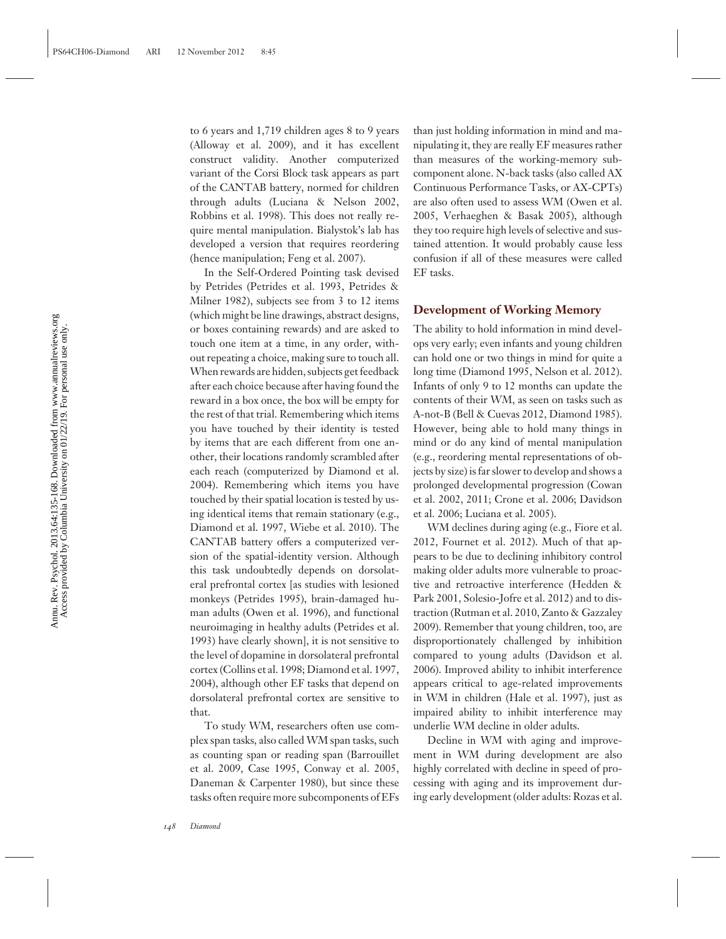to 6 years and 1,719 children ages 8 to 9 years (Alloway et al. 2009), and it has excellent construct validity. Another computerized variant of the Corsi Block task appears as part of the CANTAB battery, normed for children through adults (Luciana & Nelson 2002, Robbins et al. 1998). This does not really require mental manipulation. Bialystok's lab has developed a version that requires reordering (hence manipulation; Feng et al. 2007).

In the Self-Ordered Pointing task devised by Petrides (Petrides et al. 1993, Petrides & Milner 1982), subjects see from 3 to 12 items (which might be line drawings, abstract designs, or boxes containing rewards) and are asked to touch one item at a time, in any order, without repeating a choice, making sure to touch all. When rewards are hidden, subjects get feedback after each choice because after having found the reward in a box once, the box will be empty for the rest of that trial. Remembering which items you have touched by their identity is tested by items that are each different from one another, their locations randomly scrambled after each reach (computerized by Diamond et al. 2004). Remembering which items you have touched by their spatial location is tested by using identical items that remain stationary (e.g., Diamond et al. 1997, Wiebe et al. 2010). The CANTAB battery offers a computerized version of the spatial-identity version. Although this task undoubtedly depends on dorsolateral prefrontal cortex [as studies with lesioned monkeys (Petrides 1995), brain-damaged human adults (Owen et al. 1996), and functional neuroimaging in healthy adults (Petrides et al. 1993) have clearly shown], it is not sensitive to the level of dopamine in dorsolateral prefrontal cortex (Collins et al. 1998; Diamond et al. 1997, 2004), although other EF tasks that depend on dorsolateral prefrontal cortex are sensitive to that.

To study WM, researchers often use complex span tasks, also called WM span tasks, such as counting span or reading span (Barrouillet et al. 2009, Case 1995, Conway et al. 2005, Daneman & Carpenter 1980), but since these tasks often require more subcomponents of EFs than just holding information in mind and manipulating it, they are really EF measures rather than measures of the working-memory subcomponent alone. N-back tasks (also called AX Continuous Performance Tasks, or AX-CPTs) are also often used to assess WM (Owen et al. 2005, Verhaeghen & Basak 2005), although they too require high levels of selective and sustained attention. It would probably cause less confusion if all of these measures were called EF tasks.

#### **Development of Working Memory**

The ability to hold information in mind develops very early; even infants and young children can hold one or two things in mind for quite a long time (Diamond 1995, Nelson et al. 2012). Infants of only 9 to 12 months can update the contents of their WM, as seen on tasks such as A-not-B (Bell & Cuevas 2012, Diamond 1985). However, being able to hold many things in mind or do any kind of mental manipulation (e.g., reordering mental representations of objects by size) is far slower to develop and shows a prolonged developmental progression (Cowan et al. 2002, 2011; Crone et al. 2006; Davidson et al. 2006; Luciana et al. 2005).

WM declines during aging (e.g., Fiore et al. 2012, Fournet et al. 2012). Much of that appears to be due to declining inhibitory control making older adults more vulnerable to proactive and retroactive interference (Hedden & Park 2001, Solesio-Jofre et al. 2012) and to distraction (Rutman et al. 2010, Zanto & Gazzaley 2009). Remember that young children, too, are disproportionately challenged by inhibition compared to young adults (Davidson et al. 2006). Improved ability to inhibit interference appears critical to age-related improvements in WM in children (Hale et al. 1997), just as impaired ability to inhibit interference may underlie WM decline in older adults.

Decline in WM with aging and improvement in WM during development are also highly correlated with decline in speed of processing with aging and its improvement during early development (older adults: Rozas et al.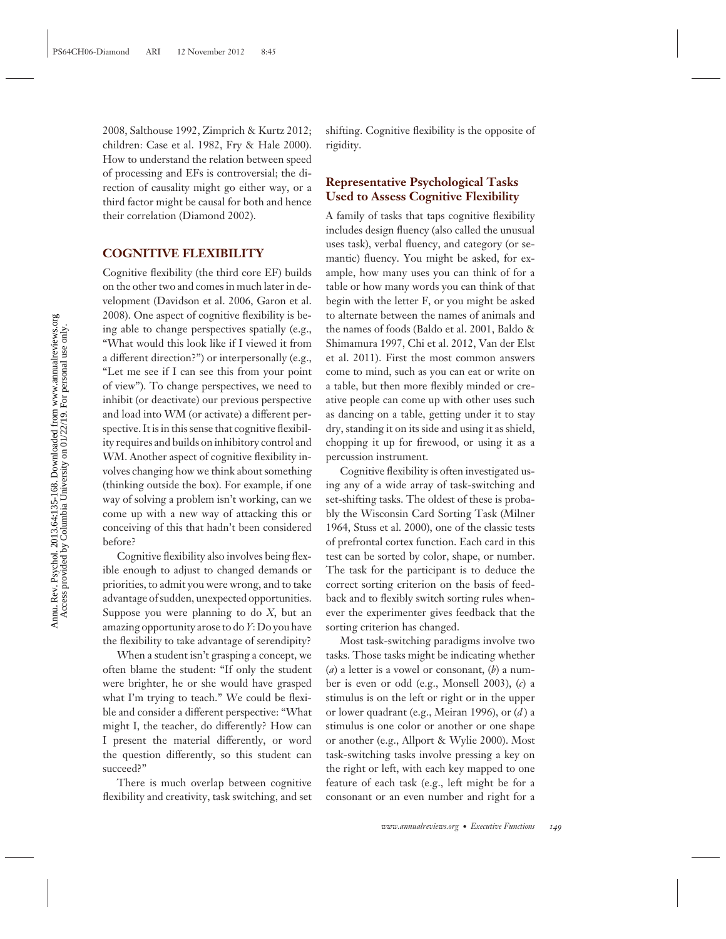2008, Salthouse 1992, Zimprich & Kurtz 2012; children: Case et al. 1982, Fry & Hale 2000). How to understand the relation between speed of processing and EFs is controversial; the direction of causality might go either way, or a third factor might be causal for both and hence their correlation (Diamond 2002).

#### **COGNITIVE FLEXIBILITY**

Cognitive flexibility (the third core EF) builds on the other two and comes in much later in development (Davidson et al. 2006, Garon et al. 2008). One aspect of cognitive flexibility is being able to change perspectives spatially (e.g., "What would this look like if I viewed it from a different direction?") or interpersonally (e.g., "Let me see if I can see this from your point of view"). To change perspectives, we need to inhibit (or deactivate) our previous perspective and load into WM (or activate) a different perspective. It is in this sense that cognitive flexibility requires and builds on inhibitory control and WM. Another aspect of cognitive flexibility involves changing how we think about something (thinking outside the box). For example, if one way of solving a problem isn't working, can we come up with a new way of attacking this or conceiving of this that hadn't been considered before?

Cognitive flexibility also involves being flexible enough to adjust to changed demands or priorities, to admit you were wrong, and to take advantage of sudden, unexpected opportunities. Suppose you were planning to do *X*, but an amazing opportunity arose to do*Y*: Do you have the flexibility to take advantage of serendipity?

When a student isn't grasping a concept, we often blame the student: "If only the student were brighter, he or she would have grasped what I'm trying to teach." We could be flexible and consider a different perspective: "What might I, the teacher, do differently? How can I present the material differently, or word the question differently, so this student can succeed?"

There is much overlap between cognitive flexibility and creativity, task switching, and set shifting. Cognitive flexibility is the opposite of rigidity.

#### **Representative Psychological Tasks Used to Assess Cognitive Flexibility**

A family of tasks that taps cognitive flexibility includes design fluency (also called the unusual uses task), verbal fluency, and category (or semantic) fluency. You might be asked, for example, how many uses you can think of for a table or how many words you can think of that begin with the letter F, or you might be asked to alternate between the names of animals and the names of foods (Baldo et al. 2001, Baldo & Shimamura 1997, Chi et al. 2012, Van der Elst et al. 2011). First the most common answers come to mind, such as you can eat or write on a table, but then more flexibly minded or creative people can come up with other uses such as dancing on a table, getting under it to stay dry, standing it on its side and using it as shield, chopping it up for firewood, or using it as a percussion instrument.

Cognitive flexibility is often investigated using any of a wide array of task-switching and set-shifting tasks. The oldest of these is probably the Wisconsin Card Sorting Task (Milner 1964, Stuss et al. 2000), one of the classic tests of prefrontal cortex function. Each card in this test can be sorted by color, shape, or number. The task for the participant is to deduce the correct sorting criterion on the basis of feedback and to flexibly switch sorting rules whenever the experimenter gives feedback that the sorting criterion has changed.

Most task-switching paradigms involve two tasks. Those tasks might be indicating whether (*a*) a letter is a vowel or consonant, (*b*) a number is even or odd (e.g., Monsell 2003), (*c*) a stimulus is on the left or right or in the upper or lower quadrant (e.g., Meiran 1996), or (*d* ) a stimulus is one color or another or one shape or another (e.g., Allport & Wylie 2000). Most task-switching tasks involve pressing a key on the right or left, with each key mapped to one feature of each task (e.g., left might be for a consonant or an even number and right for a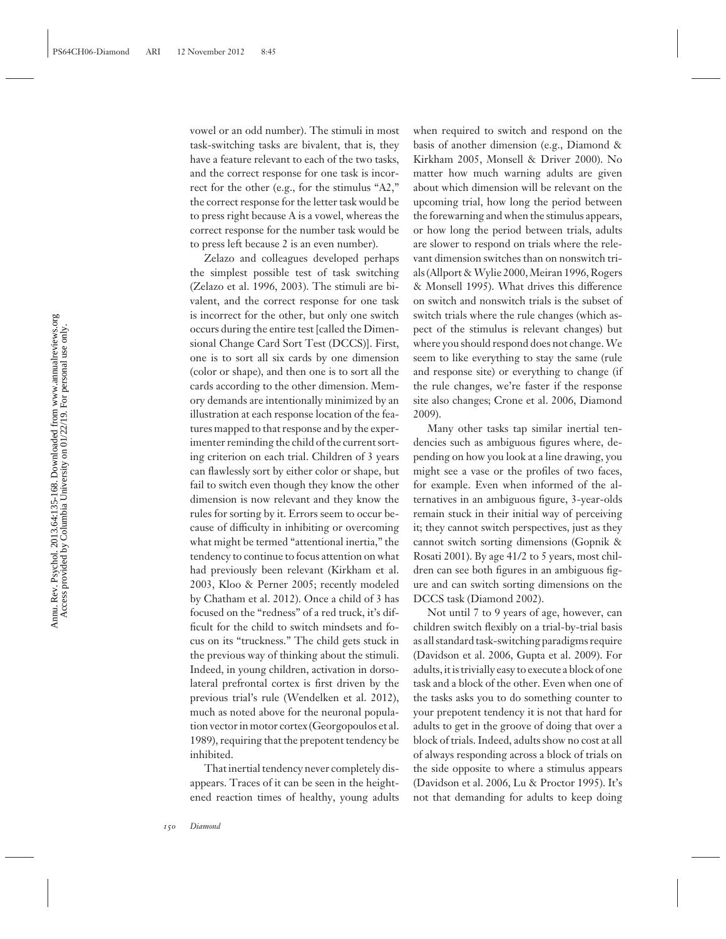Annu. Rev. Psychol. 2013.64:135-168. Downloaded from www.annualreviews.org<br>Access provided by Columbia University on 01/22/19. For personal use only. Annu. Rev. Psychol. 2013.64:135-168. Downloaded from www.annualreviews.org Access provided by Columbia University on 01/22/19. For personal use only.

vowel or an odd number). The stimuli in most task-switching tasks are bivalent, that is, they have a feature relevant to each of the two tasks, and the correct response for one task is incorrect for the other (e.g., for the stimulus "A2," the correct response for the letter task would be to press right because A is a vowel, whereas the correct response for the number task would be to press left because 2 is an even number).

Zelazo and colleagues developed perhaps the simplest possible test of task switching (Zelazo et al. 1996, 2003). The stimuli are bivalent, and the correct response for one task is incorrect for the other, but only one switch occurs during the entire test [called the Dimensional Change Card Sort Test (DCCS)]. First, one is to sort all six cards by one dimension (color or shape), and then one is to sort all the cards according to the other dimension. Memory demands are intentionally minimized by an illustration at each response location of the features mapped to that response and by the experimenter reminding the child of the current sorting criterion on each trial. Children of 3 years can flawlessly sort by either color or shape, but fail to switch even though they know the other dimension is now relevant and they know the rules for sorting by it. Errors seem to occur because of difficulty in inhibiting or overcoming what might be termed "attentional inertia," the tendency to continue to focus attention on what had previously been relevant (Kirkham et al. 2003, Kloo & Perner 2005; recently modeled by Chatham et al. 2012). Once a child of 3 has focused on the "redness" of a red truck, it's difficult for the child to switch mindsets and focus on its "truckness." The child gets stuck in the previous way of thinking about the stimuli. Indeed, in young children, activation in dorsolateral prefrontal cortex is first driven by the previous trial's rule (Wendelken et al. 2012), much as noted above for the neuronal population vector in motor cortex (Georgopoulos et al. 1989), requiring that the prepotent tendency be inhibited.

That inertial tendency never completely disappears. Traces of it can be seen in the heightened reaction times of healthy, young adults

when required to switch and respond on the basis of another dimension (e.g., Diamond & Kirkham 2005, Monsell & Driver 2000). No matter how much warning adults are given about which dimension will be relevant on the upcoming trial, how long the period between the forewarning and when the stimulus appears, or how long the period between trials, adults are slower to respond on trials where the relevant dimension switches than on nonswitch trials (Allport & Wylie 2000, Meiran 1996, Rogers & Monsell 1995). What drives this difference on switch and nonswitch trials is the subset of switch trials where the rule changes (which aspect of the stimulus is relevant changes) but where you should respond does not change. We seem to like everything to stay the same (rule and response site) or everything to change (if the rule changes, we're faster if the response site also changes; Crone et al. 2006, Diamond 2009).

Many other tasks tap similar inertial tendencies such as ambiguous figures where, depending on how you look at a line drawing, you might see a vase or the profiles of two faces, for example. Even when informed of the alternatives in an ambiguous figure, 3-year-olds remain stuck in their initial way of perceiving it; they cannot switch perspectives, just as they cannot switch sorting dimensions (Gopnik & Rosati 2001). By age 41/2 to 5 years, most children can see both figures in an ambiguous figure and can switch sorting dimensions on the DCCS task (Diamond 2002).

Not until 7 to 9 years of age, however, can children switch flexibly on a trial-by-trial basis as all standard task-switching paradigms require (Davidson et al. 2006, Gupta et al. 2009). For adults, it is trivially easy to execute a block of one task and a block of the other. Even when one of the tasks asks you to do something counter to your prepotent tendency it is not that hard for adults to get in the groove of doing that over a block of trials. Indeed, adults show no cost at all of always responding across a block of trials on the side opposite to where a stimulus appears (Davidson et al. 2006, Lu & Proctor 1995). It's not that demanding for adults to keep doing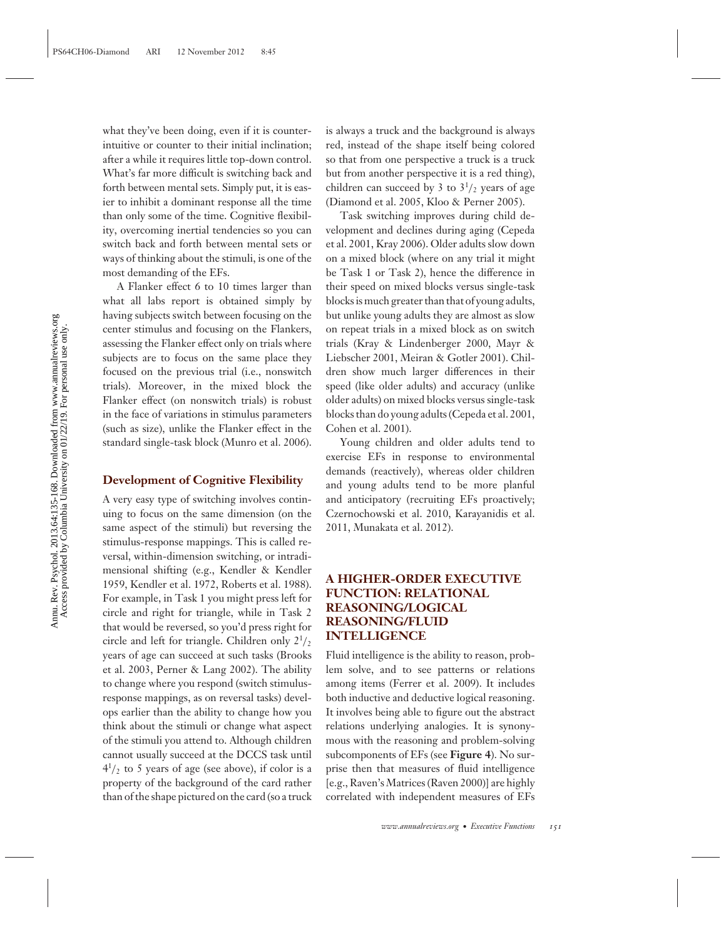what they've been doing, even if it is counterintuitive or counter to their initial inclination; after a while it requires little top-down control. What's far more difficult is switching back and forth between mental sets. Simply put, it is easier to inhibit a dominant response all the time than only some of the time. Cognitive flexibility, overcoming inertial tendencies so you can switch back and forth between mental sets or ways of thinking about the stimuli, is one of the most demanding of the EFs.

A Flanker effect 6 to 10 times larger than what all labs report is obtained simply by having subjects switch between focusing on the center stimulus and focusing on the Flankers, assessing the Flanker effect only on trials where subjects are to focus on the same place they focused on the previous trial (i.e., nonswitch trials). Moreover, in the mixed block the Flanker effect (on nonswitch trials) is robust in the face of variations in stimulus parameters (such as size), unlike the Flanker effect in the standard single-task block (Munro et al. 2006).

#### **Development of Cognitive Flexibility**

A very easy type of switching involves continuing to focus on the same dimension (on the same aspect of the stimuli) but reversing the stimulus-response mappings. This is called reversal, within-dimension switching, or intradimensional shifting (e.g., Kendler & Kendler 1959, Kendler et al. 1972, Roberts et al. 1988). For example, in Task 1 you might press left for circle and right for triangle, while in Task 2 that would be reversed, so you'd press right for circle and left for triangle. Children only  $2^{1}/_{2}$ years of age can succeed at such tasks (Brooks et al. 2003, Perner & Lang 2002). The ability to change where you respond (switch stimulusresponse mappings, as on reversal tasks) develops earlier than the ability to change how you think about the stimuli or change what aspect of the stimuli you attend to. Although children cannot usually succeed at the DCCS task until  $4^{1}/_{2}$  to 5 years of age (see above), if color is a property of the background of the card rather than of the shape pictured on the card (so a truck is always a truck and the background is always red, instead of the shape itself being colored so that from one perspective a truck is a truck but from another perspective it is a red thing), children can succeed by 3 to  $3<sup>1</sup>/2$  years of age (Diamond et al. 2005, Kloo & Perner 2005).

Task switching improves during child development and declines during aging (Cepeda et al. 2001, Kray 2006). Older adults slow down on a mixed block (where on any trial it might be Task 1 or Task 2), hence the difference in their speed on mixed blocks versus single-task blocks is much greater than that of young adults, but unlike young adults they are almost as slow on repeat trials in a mixed block as on switch trials (Kray & Lindenberger 2000, Mayr & Liebscher 2001, Meiran & Gotler 2001). Children show much larger differences in their speed (like older adults) and accuracy (unlike older adults) on mixed blocks versus single-task blocks than do young adults (Cepeda et al. 2001, Cohen et al. 2001).

Young children and older adults tend to exercise EFs in response to environmental demands (reactively), whereas older children and young adults tend to be more planful and anticipatory (recruiting EFs proactively; Czernochowski et al. 2010, Karayanidis et al. 2011, Munakata et al. 2012).

## **A HIGHER-ORDER EXECUTIVE FUNCTION: RELATIONAL REASONING/LOGICAL REASONING/FLUID INTELLIGENCE**

Fluid intelligence is the ability to reason, problem solve, and to see patterns or relations among items (Ferrer et al. 2009). It includes both inductive and deductive logical reasoning. It involves being able to figure out the abstract relations underlying analogies. It is synonymous with the reasoning and problem-solving subcomponents of EFs (see **Figure 4**). No surprise then that measures of fluid intelligence [e.g., Raven's Matrices (Raven 2000)] are highly correlated with independent measures of EFs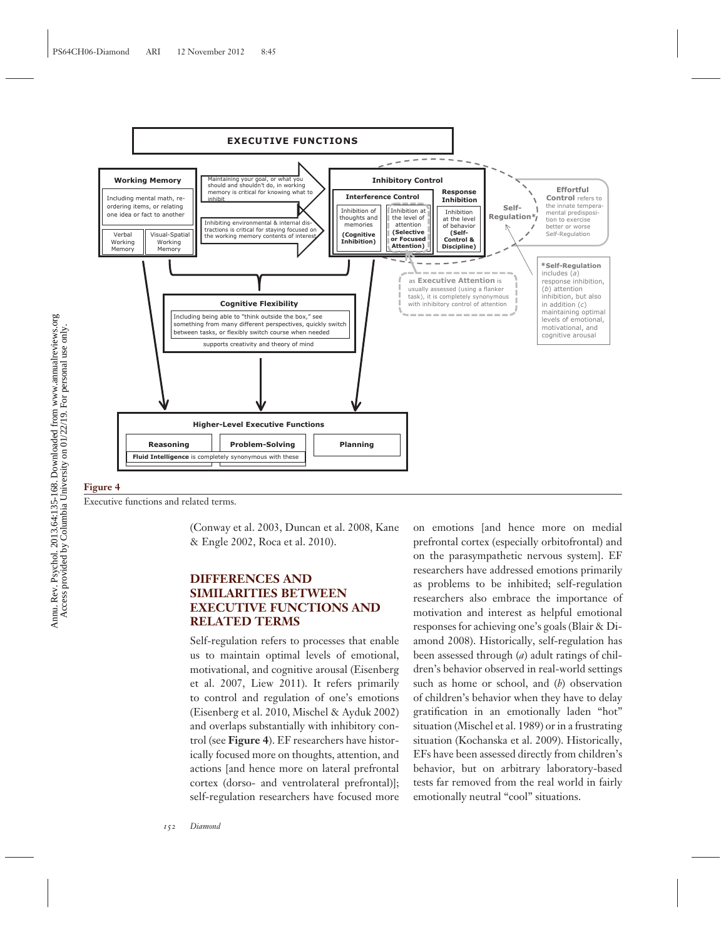

#### **Figure 4**

Executive functions and related terms.

(Conway et al. 2003, Duncan et al. 2008, Kane & Engle 2002, Roca et al. 2010).

## **DIFFERENCES AND SIMILARITIES BETWEEN EXECUTIVE FUNCTIONS AND RELATED TERMS**

Self-regulation refers to processes that enable us to maintain optimal levels of emotional, motivational, and cognitive arousal (Eisenberg et al. 2007, Liew 2011). It refers primarily to control and regulation of one's emotions (Eisenberg et al. 2010, Mischel & Ayduk 2002) and overlaps substantially with inhibitory control (see **Figure 4**). EF researchers have historically focused more on thoughts, attention, and actions [and hence more on lateral prefrontal cortex (dorso- and ventrolateral prefrontal)]; self-regulation researchers have focused more

on emotions [and hence more on medial prefrontal cortex (especially orbitofrontal) and on the parasympathetic nervous system]. EF researchers have addressed emotions primarily as problems to be inhibited; self-regulation researchers also embrace the importance of motivation and interest as helpful emotional responses for achieving one's goals (Blair & Diamond 2008). Historically, self-regulation has been assessed through (*a*) adult ratings of children's behavior observed in real-world settings such as home or school, and (*b*) observation of children's behavior when they have to delay gratification in an emotionally laden "hot" situation (Mischel et al. 1989) or in a frustrating situation (Kochanska et al. 2009). Historically, EFs have been assessed directly from children's behavior, but on arbitrary laboratory-based tests far removed from the real world in fairly emotionally neutral "cool" situations.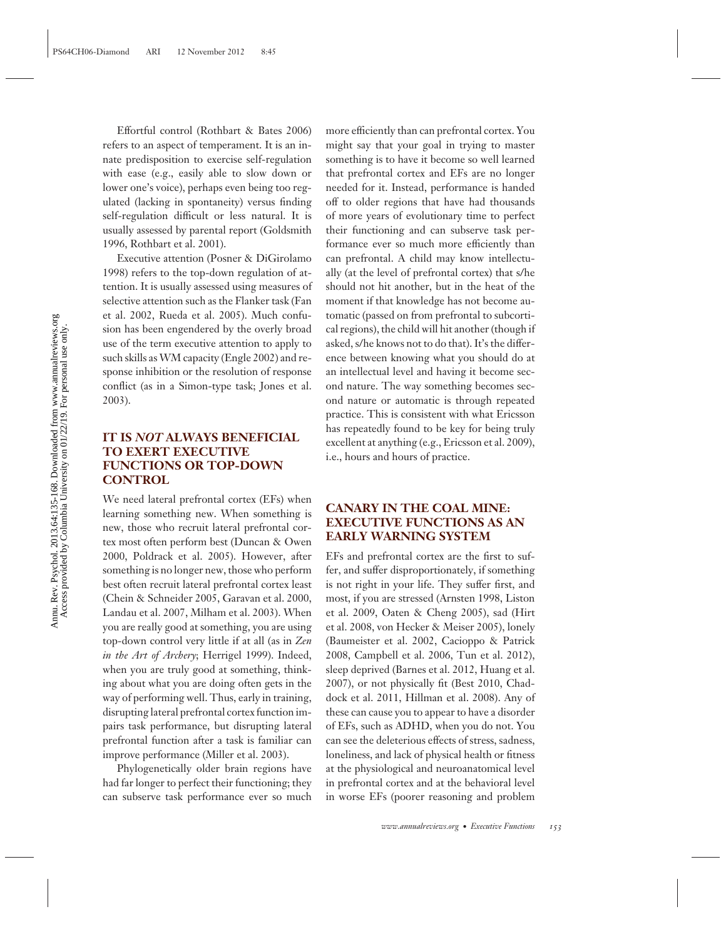Effortful control (Rothbart & Bates 2006) refers to an aspect of temperament. It is an innate predisposition to exercise self-regulation with ease (e.g., easily able to slow down or lower one's voice), perhaps even being too regulated (lacking in spontaneity) versus finding self-regulation difficult or less natural. It is usually assessed by parental report (Goldsmith 1996, Rothbart et al. 2001).

Executive attention (Posner & DiGirolamo 1998) refers to the top-down regulation of attention. It is usually assessed using measures of selective attention such as the Flanker task (Fan et al. 2002, Rueda et al. 2005). Much confusion has been engendered by the overly broad use of the term executive attention to apply to such skills as WM capacity (Engle 2002) and response inhibition or the resolution of response conflict (as in a Simon-type task; Jones et al. 2003).

## **IT IS** *NOT* **ALWAYS BENEFICIAL TO EXERT EXECUTIVE FUNCTIONS OR TOP-DOWN CONTROL**

We need lateral prefrontal cortex (EFs) when learning something new. When something is new, those who recruit lateral prefrontal cortex most often perform best (Duncan & Owen 2000, Poldrack et al. 2005). However, after something is no longer new, those who perform best often recruit lateral prefrontal cortex least (Chein & Schneider 2005, Garavan et al. 2000, Landau et al. 2007, Milham et al. 2003). When you are really good at something, you are using top-down control very little if at all (as in *Zen in the Art of Archery*; Herrigel 1999). Indeed, when you are truly good at something, thinking about what you are doing often gets in the way of performing well. Thus, early in training, disrupting lateral prefrontal cortex function impairs task performance, but disrupting lateral prefrontal function after a task is familiar can improve performance (Miller et al. 2003).

Phylogenetically older brain regions have had far longer to perfect their functioning; they can subserve task performance ever so much more efficiently than can prefrontal cortex. You might say that your goal in trying to master something is to have it become so well learned that prefrontal cortex and EFs are no longer needed for it. Instead, performance is handed off to older regions that have had thousands of more years of evolutionary time to perfect their functioning and can subserve task performance ever so much more efficiently than can prefrontal. A child may know intellectually (at the level of prefrontal cortex) that s/he should not hit another, but in the heat of the moment if that knowledge has not become automatic (passed on from prefrontal to subcortical regions), the child will hit another (though if asked, s/he knows not to do that). It's the difference between knowing what you should do at an intellectual level and having it become second nature. The way something becomes second nature or automatic is through repeated practice. This is consistent with what Ericsson has repeatedly found to be key for being truly excellent at anything (e.g., Ericsson et al. 2009), i.e., hours and hours of practice.

## **CANARY IN THE COAL MINE: EXECUTIVE FUNCTIONS AS AN EARLY WARNING SYSTEM**

EFs and prefrontal cortex are the first to suffer, and suffer disproportionately, if something is not right in your life. They suffer first, and most, if you are stressed (Arnsten 1998, Liston et al. 2009, Oaten & Cheng 2005), sad (Hirt et al. 2008, von Hecker & Meiser 2005), lonely (Baumeister et al. 2002, Cacioppo & Patrick 2008, Campbell et al. 2006, Tun et al. 2012), sleep deprived (Barnes et al. 2012, Huang et al. 2007), or not physically fit (Best 2010, Chaddock et al. 2011, Hillman et al. 2008). Any of these can cause you to appear to have a disorder of EFs, such as ADHD, when you do not. You can see the deleterious effects of stress, sadness, loneliness, and lack of physical health or fitness at the physiological and neuroanatomical level in prefrontal cortex and at the behavioral level in worse EFs (poorer reasoning and problem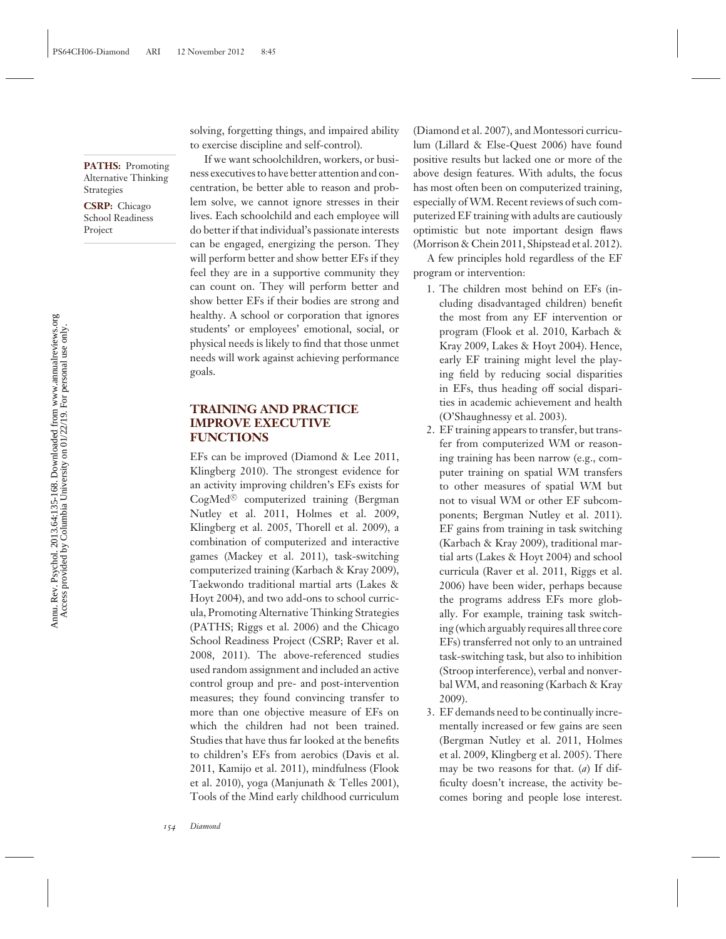**PATHS:** Promoting Alternative Thinking Strategies

**CSRP:** Chicago School Readiness Project

solving, forgetting things, and impaired ability to exercise discipline and self-control).

If we want schoolchildren, workers, or business executives to have better attention and concentration, be better able to reason and problem solve, we cannot ignore stresses in their lives. Each schoolchild and each employee will do better if that individual's passionate interests can be engaged, energizing the person. They will perform better and show better EFs if they feel they are in a supportive community they can count on. They will perform better and show better EFs if their bodies are strong and healthy. A school or corporation that ignores students' or employees' emotional, social, or physical needs is likely to find that those unmet needs will work against achieving performance goals.

#### **TRAINING AND PRACTICE IMPROVE EXECUTIVE FUNCTIONS**

EFs can be improved (Diamond & Lee 2011, Klingberg 2010). The strongest evidence for an activity improving children's EFs exists for CogMed<sup>©</sup> computerized training (Bergman Nutley et al. 2011, Holmes et al. 2009, Klingberg et al. 2005, Thorell et al. 2009), a combination of computerized and interactive games (Mackey et al. 2011), task-switching computerized training (Karbach & Kray 2009), Taekwondo traditional martial arts (Lakes & Hoyt 2004), and two add-ons to school curricula, Promoting Alternative Thinking Strategies (PATHS; Riggs et al. 2006) and the Chicago School Readiness Project (CSRP; Raver et al. 2008, 2011). The above-referenced studies used random assignment and included an active control group and pre- and post-intervention measures; they found convincing transfer to more than one objective measure of EFs on which the children had not been trained. Studies that have thus far looked at the benefits to children's EFs from aerobics (Davis et al. 2011, Kamijo et al. 2011), mindfulness (Flook et al. 2010), yoga (Manjunath & Telles 2001), Tools of the Mind early childhood curriculum

(Diamond et al. 2007), and Montessori curriculum (Lillard & Else-Quest 2006) have found positive results but lacked one or more of the above design features. With adults, the focus has most often been on computerized training, especially of WM. Recent reviews of such computerized EF training with adults are cautiously optimistic but note important design flaws (Morrison & Chein 2011, Shipstead et al. 2012).

A few principles hold regardless of the EF program or intervention:

- 1. The children most behind on EFs (including disadvantaged children) benefit the most from any EF intervention or program (Flook et al. 2010, Karbach & Kray 2009, Lakes & Hoyt 2004). Hence, early EF training might level the playing field by reducing social disparities in EFs, thus heading off social disparities in academic achievement and health (O'Shaughnessy et al. 2003).
- 2. EF training appears to transfer, but transfer from computerized WM or reasoning training has been narrow (e.g., computer training on spatial WM transfers to other measures of spatial WM but not to visual WM or other EF subcomponents; Bergman Nutley et al. 2011). EF gains from training in task switching (Karbach & Kray 2009), traditional martial arts (Lakes & Hoyt 2004) and school curricula (Raver et al. 2011, Riggs et al. 2006) have been wider, perhaps because the programs address EFs more globally. For example, training task switching (which arguably requires all three core EFs) transferred not only to an untrained task-switching task, but also to inhibition (Stroop interference), verbal and nonverbal WM, and reasoning (Karbach & Kray 2009).
- 3. EF demands need to be continually incrementally increased or few gains are seen (Bergman Nutley et al. 2011, Holmes et al. 2009, Klingberg et al. 2005). There may be two reasons for that. (*a*) If difficulty doesn't increase, the activity becomes boring and people lose interest.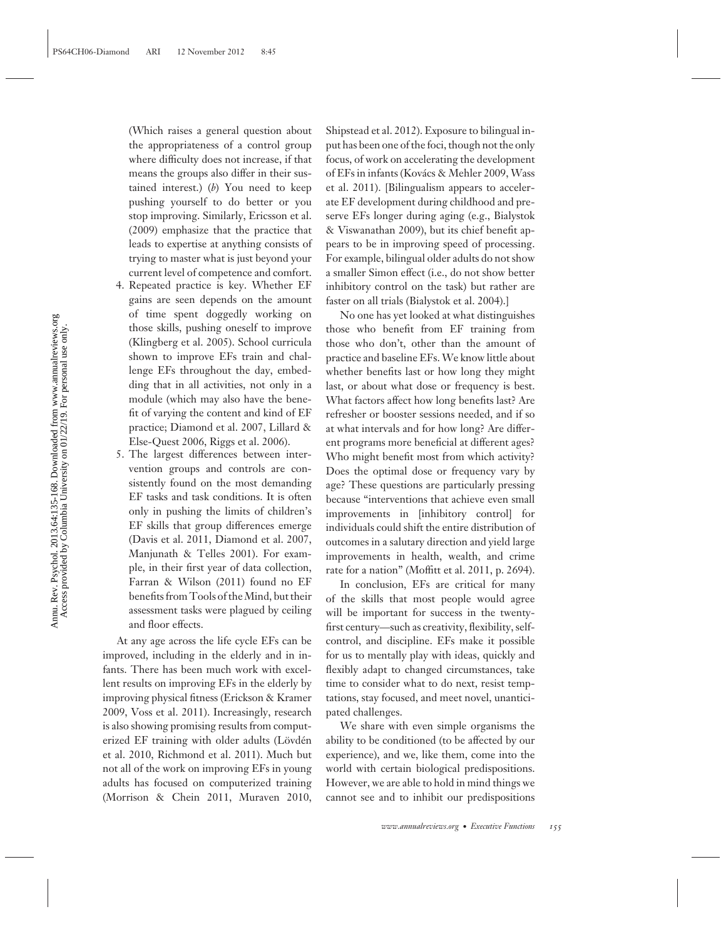(Which raises a general question about the appropriateness of a control group where difficulty does not increase, if that means the groups also differ in their sustained interest.) (*b*) You need to keep pushing yourself to do better or you stop improving. Similarly, Ericsson et al. (2009) emphasize that the practice that leads to expertise at anything consists of trying to master what is just beyond your current level of competence and comfort.

- 4. Repeated practice is key. Whether EF gains are seen depends on the amount of time spent doggedly working on those skills, pushing oneself to improve (Klingberg et al. 2005). School curricula shown to improve EFs train and challenge EFs throughout the day, embedding that in all activities, not only in a module (which may also have the benefit of varying the content and kind of EF practice; Diamond et al. 2007, Lillard & Else-Quest 2006, Riggs et al. 2006).
- 5. The largest differences between intervention groups and controls are consistently found on the most demanding EF tasks and task conditions. It is often only in pushing the limits of children's EF skills that group differences emerge (Davis et al. 2011, Diamond et al. 2007, Manjunath & Telles 2001). For example, in their first year of data collection, Farran & Wilson (2011) found no EF benefits from Tools of the Mind, but their assessment tasks were plagued by ceiling and floor effects.

At any age across the life cycle EFs can be improved, including in the elderly and in infants. There has been much work with excellent results on improving EFs in the elderly by improving physical fitness (Erickson & Kramer 2009, Voss et al. 2011). Increasingly, research is also showing promising results from computerized EF training with older adults (Lövdén et al. 2010, Richmond et al. 2011). Much but not all of the work on improving EFs in young adults has focused on computerized training (Morrison & Chein 2011, Muraven 2010,

Shipstead et al. 2012). Exposure to bilingual input has been one of the foci, though not the only focus, of work on accelerating the development of EFs in infants (Kovacs & Mehler 2009, Wass ´ et al. 2011). [Bilingualism appears to accelerate EF development during childhood and preserve EFs longer during aging (e.g., Bialystok & Viswanathan 2009), but its chief benefit appears to be in improving speed of processing. For example, bilingual older adults do not show a smaller Simon effect (i.e., do not show better inhibitory control on the task) but rather are faster on all trials (Bialystok et al. 2004).]

No one has yet looked at what distinguishes those who benefit from EF training from those who don't, other than the amount of practice and baseline EFs. We know little about whether benefits last or how long they might last, or about what dose or frequency is best. What factors affect how long benefits last? Are refresher or booster sessions needed, and if so at what intervals and for how long? Are different programs more beneficial at different ages? Who might benefit most from which activity? Does the optimal dose or frequency vary by age? These questions are particularly pressing because "interventions that achieve even small improvements in [inhibitory control] for individuals could shift the entire distribution of outcomes in a salutary direction and yield large improvements in health, wealth, and crime rate for a nation" (Moffitt et al. 2011, p. 2694).

In conclusion, EFs are critical for many of the skills that most people would agree will be important for success in the twentyfirst century—such as creativity, flexibility, selfcontrol, and discipline. EFs make it possible for us to mentally play with ideas, quickly and flexibly adapt to changed circumstances, take time to consider what to do next, resist temptations, stay focused, and meet novel, unanticipated challenges.

We share with even simple organisms the ability to be conditioned (to be affected by our experience), and we, like them, come into the world with certain biological predispositions. However, we are able to hold in mind things we cannot see and to inhibit our predispositions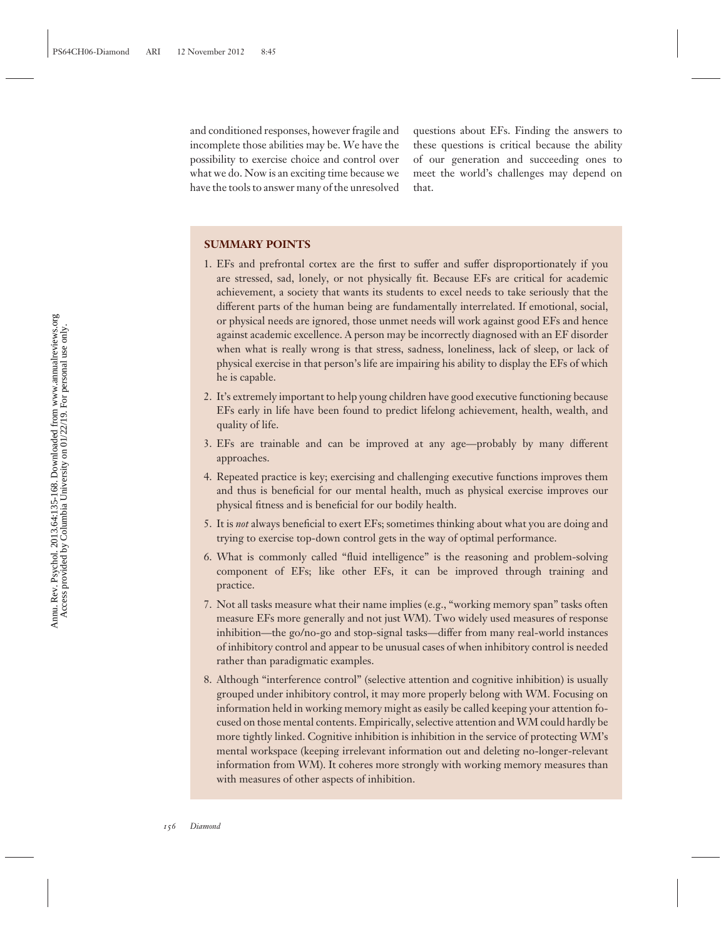and conditioned responses, however fragile and incomplete those abilities may be. We have the possibility to exercise choice and control over what we do. Now is an exciting time because we have the tools to answer many of the unresolved questions about EFs. Finding the answers to these questions is critical because the ability of our generation and succeeding ones to meet the world's challenges may depend on that.

#### **SUMMARY POINTS**

- 1. EFs and prefrontal cortex are the first to suffer and suffer disproportionately if you are stressed, sad, lonely, or not physically fit. Because EFs are critical for academic achievement, a society that wants its students to excel needs to take seriously that the different parts of the human being are fundamentally interrelated. If emotional, social, or physical needs are ignored, those unmet needs will work against good EFs and hence against academic excellence. A person may be incorrectly diagnosed with an EF disorder when what is really wrong is that stress, sadness, loneliness, lack of sleep, or lack of physical exercise in that person's life are impairing his ability to display the EFs of which he is capable.
- 2. It's extremely important to help young children have good executive functioning because EFs early in life have been found to predict lifelong achievement, health, wealth, and quality of life.
- 3. EFs are trainable and can be improved at any age—probably by many different approaches.
- 4. Repeated practice is key; exercising and challenging executive functions improves them and thus is beneficial for our mental health, much as physical exercise improves our physical fitness and is beneficial for our bodily health.
- 5. It is *not* always beneficial to exert EFs; sometimes thinking about what you are doing and trying to exercise top-down control gets in the way of optimal performance.
- 6. What is commonly called "fluid intelligence" is the reasoning and problem-solving component of EFs; like other EFs, it can be improved through training and practice.
- 7. Not all tasks measure what their name implies (e.g., "working memory span" tasks often measure EFs more generally and not just WM). Two widely used measures of response inhibition—the go/no-go and stop-signal tasks—differ from many real-world instances of inhibitory control and appear to be unusual cases of when inhibitory control is needed rather than paradigmatic examples.
- 8. Although "interference control" (selective attention and cognitive inhibition) is usually grouped under inhibitory control, it may more properly belong with WM. Focusing on information held in working memory might as easily be called keeping your attention focused on those mental contents. Empirically, selective attention and WM could hardly be more tightly linked. Cognitive inhibition is inhibition in the service of protecting WM's mental workspace (keeping irrelevant information out and deleting no-longer-relevant information from WM). It coheres more strongly with working memory measures than with measures of other aspects of inhibition.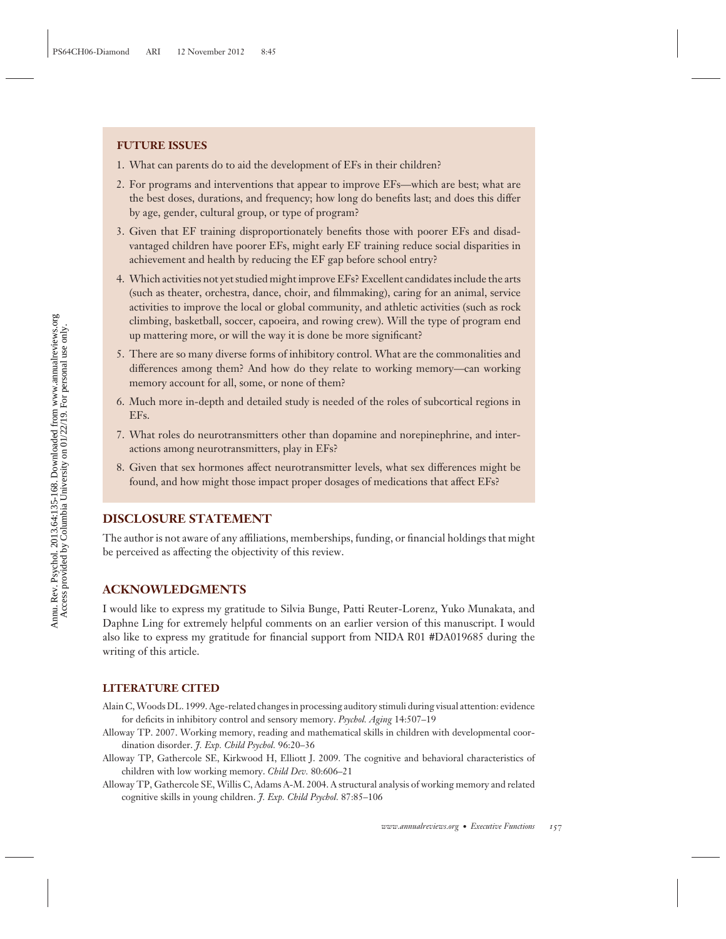#### **FUTURE ISSUES**

- 1. What can parents do to aid the development of EFs in their children?
- 2. For programs and interventions that appear to improve EFs—which are best; what are the best doses, durations, and frequency; how long do benefits last; and does this differ by age, gender, cultural group, or type of program?
- 3. Given that EF training disproportionately benefits those with poorer EFs and disadvantaged children have poorer EFs, might early EF training reduce social disparities in achievement and health by reducing the EF gap before school entry?
- 4. Which activities not yet studied might improve EFs? Excellent candidates include the arts (such as theater, orchestra, dance, choir, and filmmaking), caring for an animal, service activities to improve the local or global community, and athletic activities (such as rock climbing, basketball, soccer, capoeira, and rowing crew). Will the type of program end up mattering more, or will the way it is done be more significant?
- 5. There are so many diverse forms of inhibitory control. What are the commonalities and differences among them? And how do they relate to working memory—can working memory account for all, some, or none of them?
- 6. Much more in-depth and detailed study is needed of the roles of subcortical regions in EFs.
- 7. What roles do neurotransmitters other than dopamine and norepinephrine, and interactions among neurotransmitters, play in EFs?
- 8. Given that sex hormones affect neurotransmitter levels, what sex differences might be found, and how might those impact proper dosages of medications that affect EFs?

#### **DISCLOSURE STATEMENT**

The author is not aware of any affiliations, memberships, funding, or financial holdings that might be perceived as affecting the objectivity of this review.

#### **ACKNOWLEDGMENTS**

I would like to express my gratitude to Silvia Bunge, Patti Reuter-Lorenz, Yuko Munakata, and Daphne Ling for extremely helpful comments on an earlier version of this manuscript. I would also like to express my gratitude for financial support from NIDA R01 #DA019685 during the writing of this article.

#### **LITERATURE CITED**

Alain C, Woods DL. 1999. Age-related changes in processing auditory stimuli during visual attention: evidence for deficits in inhibitory control and sensory memory. *Psychol. Aging* 14:507–19

- Alloway TP. 2007. Working memory, reading and mathematical skills in children with developmental coordination disorder. *J. Exp. Child Psychol.* 96:20–36
- Alloway TP, Gathercole SE, Kirkwood H, Elliott J. 2009. The cognitive and behavioral characteristics of children with low working memory. *Child Dev.* 80:606–21
- Alloway TP, Gathercole SE, Willis C, Adams A-M. 2004. A structural analysis of working memory and related cognitive skills in young children. *J. Exp. Child Psychol.* 87:85–106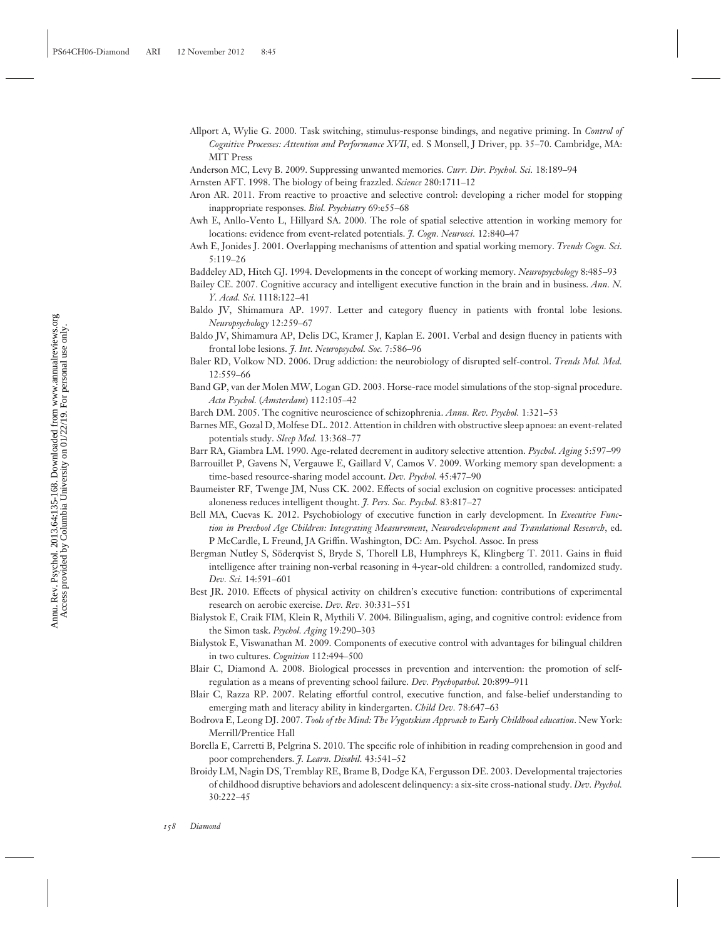- Allport A, Wylie G. 2000. Task switching, stimulus-response bindings, and negative priming. In *Control of Cognitive Processes: Attention and Performance XVII*, ed. S Monsell, J Driver, pp. 35–70. Cambridge, MA: MIT Press
- Anderson MC, Levy B. 2009. Suppressing unwanted memories. *Curr. Dir. Psychol. Sci.* 18:189–94

- Aron AR. 2011. From reactive to proactive and selective control: developing a richer model for stopping inappropriate responses. *Biol. Psychiatry* 69:e55–68
- Awh E, Anllo-Vento L, Hillyard SA. 2000. The role of spatial selective attention in working memory for locations: evidence from event-related potentials. *J. Cogn. Neurosci.* 12:840–47
- Awh E, Jonides J. 2001. Overlapping mechanisms of attention and spatial working memory. *Trends Cogn. Sci.* 5:119–26
- Baddeley AD, Hitch GJ. 1994. Developments in the concept of working memory. *Neuropsychology* 8:485–93
- Bailey CE. 2007. Cognitive accuracy and intelligent executive function in the brain and in business. *Ann. N. Y. Acad. Sci.* 1118:122–41
- Baldo JV, Shimamura AP. 1997. Letter and category fluency in patients with frontal lobe lesions. *Neuropsychology* 12:259–67
- Baldo JV, Shimamura AP, Delis DC, Kramer J, Kaplan E. 2001. Verbal and design fluency in patients with frontal lobe lesions. *J. Int. Neuropsychol. Soc.* 7:586–96
- Baler RD, Volkow ND. 2006. Drug addiction: the neurobiology of disrupted self-control. *Trends Mol. Med.* 12:559–66
- Band GP, van der Molen MW, Logan GD. 2003. Horse-race model simulations of the stop-signal procedure. *Acta Psychol.* (*Amsterdam*) 112:105–42
- Barch DM. 2005. The cognitive neuroscience of schizophrenia. *Annu. Rev. Psychol.* 1:321–53
- Barnes ME, Gozal D, Molfese DL. 2012. Attention in children with obstructive sleep apnoea: an event-related potentials study. *Sleep Med.* 13:368–77
- Barr RA, Giambra LM. 1990. Age-related decrement in auditory selective attention. *Psychol. Aging* 5:597–99
- Barrouillet P, Gavens N, Vergauwe E, Gaillard V, Camos V. 2009. Working memory span development: a time-based resource-sharing model account. *Dev. Psychol.* 45:477–90
- Baumeister RF, Twenge JM, Nuss CK. 2002. Effects of social exclusion on cognitive processes: anticipated aloneness reduces intelligent thought. *J. Pers. Soc. Psychol.* 83:817–27
- Bell MA, Cuevas K. 2012. Psychobiology of executive function in early development. In *Executive Function in Preschool Age Children: Integrating Measurement, Neurodevelopment and Translational Research*, ed. P McCardle, L Freund, JA Griffin. Washington, DC: Am. Psychol. Assoc. In press
- Bergman Nutley S, Söderqvist S, Bryde S, Thorell LB, Humphreys K, Klingberg T. 2011. Gains in fluid intelligence after training non-verbal reasoning in 4-year-old children: a controlled, randomized study. *Dev. Sci.* 14:591–601
- Best JR. 2010. Effects of physical activity on children's executive function: contributions of experimental research on aerobic exercise. *Dev. Rev.* 30:331–551
- Bialystok E, Craik FIM, Klein R, Mythili V. 2004. Bilingualism, aging, and cognitive control: evidence from the Simon task. *Psychol. Aging* 19:290–303
- Bialystok E, Viswanathan M. 2009. Components of executive control with advantages for bilingual children in two cultures. *Cognition* 112:494–500
- Blair C, Diamond A. 2008. Biological processes in prevention and intervention: the promotion of selfregulation as a means of preventing school failure. *Dev. Psychopathol.* 20:899–911
- Blair C, Razza RP. 2007. Relating effortful control, executive function, and false-belief understanding to emerging math and literacy ability in kindergarten. *Child Dev.* 78:647–63
- Bodrova E, Leong DJ. 2007. *Tools of the Mind: The Vygotskian Approach to Early Childhood education*. New York: Merrill/Prentice Hall
- Borella E, Carretti B, Pelgrina S. 2010. The specific role of inhibition in reading comprehension in good and poor comprehenders. *J. Learn. Disabil.* 43:541–52
- Broidy LM, Nagin DS, Tremblay RE, Brame B, Dodge KA, Fergusson DE. 2003. Developmental trajectories of childhood disruptive behaviors and adolescent delinquency: a six-site cross-national study. *Dev. Psychol.* 30:222–45

Arnsten AFT. 1998. The biology of being frazzled. *Science* 280:1711–12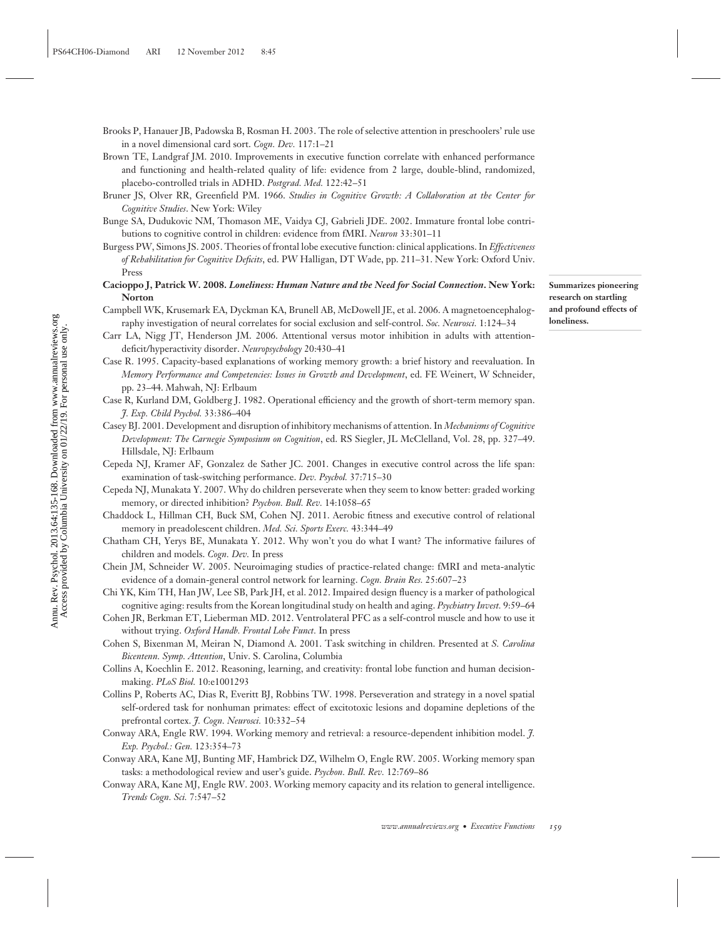- Brooks P, Hanauer JB, Padowska B, Rosman H. 2003. The role of selective attention in preschoolers' rule use in a novel dimensional card sort. *Cogn. Dev.* 117:1–21
- Brown TE, Landgraf JM. 2010. Improvements in executive function correlate with enhanced performance and functioning and health-related quality of life: evidence from 2 large, double-blind, randomized, placebo-controlled trials in ADHD. *Postgrad. Med.* 122:42–51
- Bruner JS, Olver RR, Greenfield PM. 1966. *Studies in Cognitive Growth: A Collaboration at the Center for Cognitive Studies*. New York: Wiley
- Bunge SA, Dudukovic NM, Thomason ME, Vaidya CJ, Gabrieli JDE. 2002. Immature frontal lobe contributions to cognitive control in children: evidence from fMRI. *Neuron* 33:301–11
- Burgess PW, Simons JS. 2005. Theories of frontal lobe executive function: clinical applications. In *Effectiveness of Rehabilitation for Cognitive Deficits*, ed. PW Halligan, DT Wade, pp. 211–31. New York: Oxford Univ. Press
- **Cacioppo J, Patrick W. 2008.** *Loneliness: Human Nature and the Need for Social Connection***. New York: Norton**
- Campbell WK, Krusemark EA, Dyckman KA, Brunell AB, McDowell JE, et al. 2006. A magnetoencephalography investigation of neural correlates for social exclusion and self-control. *Soc. Neurosci.* 1:124–34
- Carr LA, Nigg JT, Henderson JM. 2006. Attentional versus motor inhibition in adults with attentiondeficit/hyperactivity disorder. *Neuropsychology* 20:430–41
- Case R. 1995. Capacity-based explanations of working memory growth: a brief history and reevaluation. In *Memory Performance and Competencies: Issues in Growth and Development*, ed. FE Weinert, W Schneider, pp. 23–44. Mahwah, NJ: Erlbaum
- Case R, Kurland DM, Goldberg J. 1982. Operational efficiency and the growth of short-term memory span. *J. Exp. Child Psychol.* 33:386–404
- Casey BJ. 2001. Development and disruption of inhibitory mechanisms of attention. In *Mechanisms of Cognitive Development: The Carnegie Symposium on Cognition*, ed. RS Siegler, JL McClelland, Vol. 28, pp. 327–49. Hillsdale, NJ: Erlbaum
- Cepeda NJ, Kramer AF, Gonzalez de Sather JC. 2001. Changes in executive control across the life span: examination of task-switching performance. *Dev. Psychol.* 37:715–30
- Cepeda NJ, Munakata Y. 2007. Why do children perseverate when they seem to know better: graded working memory, or directed inhibition? *Psychon. Bull. Rev.* 14:1058–65
- Chaddock L, Hillman CH, Buck SM, Cohen NJ. 2011. Aerobic fitness and executive control of relational memory in preadolescent children. *Med. Sci. Sports Exerc.* 43:344–49
- Chatham CH, Yerys BE, Munakata Y. 2012. Why won't you do what I want? The informative failures of children and models. *Cogn. Dev.* In press
- Chein JM, Schneider W. 2005. Neuroimaging studies of practice-related change: fMRI and meta-analytic evidence of a domain-general control network for learning. *Cogn. Brain Res.* 25:607–23
- Chi YK, Kim TH, Han JW, Lee SB, Park JH, et al. 2012. Impaired design fluency is a marker of pathological cognitive aging: results from the Korean longitudinal study on health and aging. *Psychiatry Invest.* 9:59–64
- Cohen JR, Berkman ET, Lieberman MD. 2012. Ventrolateral PFC as a self-control muscle and how to use it without trying. *Oxford Handb. Frontal Lobe Funct.* In press
- Cohen S, Bixenman M, Meiran N, Diamond A. 2001. Task switching in children. Presented at *S. Carolina Bicentenn. Symp. Attention*, Univ. S. Carolina, Columbia
- Collins A, Koechlin E. 2012. Reasoning, learning, and creativity: frontal lobe function and human decisionmaking. *PLoS Biol.* 10:e1001293
- Collins P, Roberts AC, Dias R, Everitt BJ, Robbins TW. 1998. Perseveration and strategy in a novel spatial self-ordered task for nonhuman primates: effect of excitotoxic lesions and dopamine depletions of the prefrontal cortex. *J. Cogn. Neurosci.* 10:332–54
- Conway ARA, Engle RW. 1994. Working memory and retrieval: a resource-dependent inhibition model. *J. Exp. Psychol.: Gen.* 123:354–73
- Conway ARA, Kane MJ, Bunting MF, Hambrick DZ, Wilhelm O, Engle RW. 2005. Working memory span tasks: a methodological review and user's guide. *Psychon. Bull. Rev.* 12:769–86
- Conway ARA, Kane MJ, Engle RW. 2003. Working memory capacity and its relation to general intelligence. *Trends Cogn. Sci.* 7:547–52

**Summarizes pioneering research on startling and profound effects of loneliness.**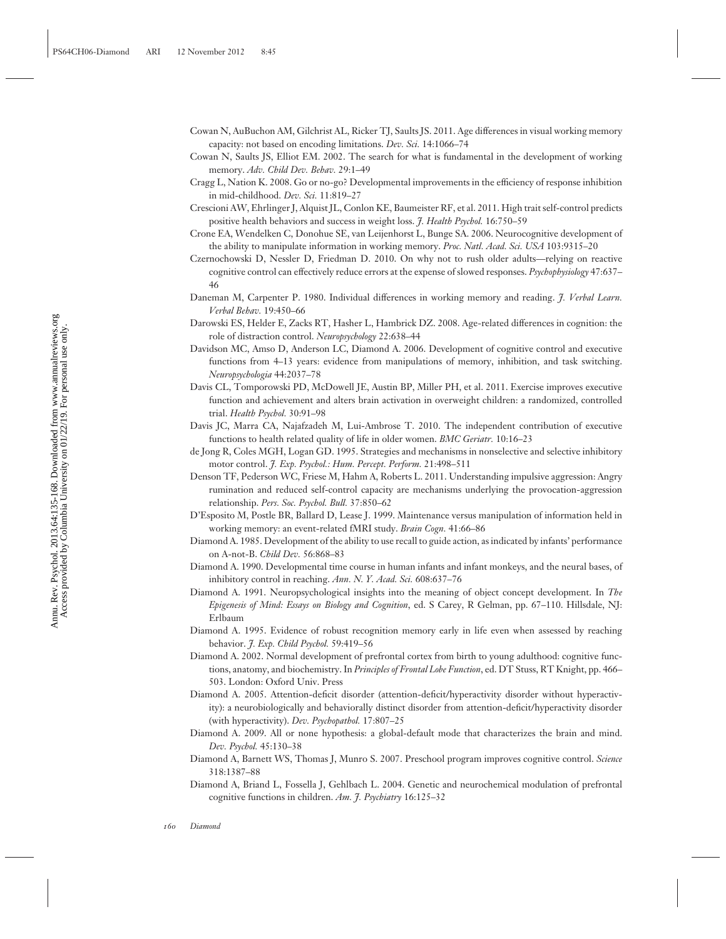- Cowan N, AuBuchon AM, Gilchrist AL, Ricker TJ, Saults JS. 2011. Age differences in visual working memory capacity: not based on encoding limitations. *Dev. Sci.* 14:1066–74
- Cowan N, Saults JS, Elliot EM. 2002. The search for what is fundamental in the development of working memory. *Adv. Child Dev. Behav.* 29:1–49
- Cragg L, Nation K. 2008. Go or no-go? Developmental improvements in the efficiency of response inhibition in mid-childhood. *Dev. Sci.* 11:819–27
- Crescioni AW, Ehrlinger J, Alquist JL, Conlon KE, Baumeister RF, et al. 2011. High trait self-control predicts positive health behaviors and success in weight loss. *J. Health Psychol.* 16:750–59
- Crone EA, Wendelken C, Donohue SE, van Leijenhorst L, Bunge SA. 2006. Neurocognitive development of the ability to manipulate information in working memory. *Proc. Natl. Acad. Sci. USA* 103:9315–20
- Czernochowski D, Nessler D, Friedman D. 2010. On why not to rush older adults—relying on reactive cognitive control can effectively reduce errors at the expense of slowed responses. *Psychophysiology* 47:637– 46
- Daneman M, Carpenter P. 1980. Individual differences in working memory and reading. *J. Verbal Learn. Verbal Behav.* 19:450–66
- Darowski ES, Helder E, Zacks RT, Hasher L, Hambrick DZ. 2008. Age-related differences in cognition: the role of distraction control. *Neuropsychology* 22:638–44
- Davidson MC, Amso D, Anderson LC, Diamond A. 2006. Development of cognitive control and executive functions from 4–13 years: evidence from manipulations of memory, inhibition, and task switching. *Neuropsychologia* 44:2037–78
- Davis CL, Tomporowski PD, McDowell JE, Austin BP, Miller PH, et al. 2011. Exercise improves executive function and achievement and alters brain activation in overweight children: a randomized, controlled trial. *Health Psychol.* 30:91–98
- Davis JC, Marra CA, Najafzadeh M, Lui-Ambrose T. 2010. The independent contribution of executive functions to health related quality of life in older women. *BMC Geriatr.* 10:16–23
- de Jong R, Coles MGH, Logan GD. 1995. Strategies and mechanisms in nonselective and selective inhibitory motor control. *J. Exp. Psychol.: Hum. Percept. Perform.* 21:498–511
- Denson TF, Pederson WC, Friese M, Hahm A, Roberts L. 2011. Understanding impulsive aggression: Angry rumination and reduced self-control capacity are mechanisms underlying the provocation-aggression relationship. *Pers. Soc. Psychol. Bull.* 37:850–62
- D'Esposito M, Postle BR, Ballard D, Lease J. 1999. Maintenance versus manipulation of information held in working memory: an event-related fMRI study. *Brain Cogn.* 41:66–86
- Diamond A. 1985. Development of the ability to use recall to guide action, as indicated by infants' performance on A-not-B. *Child Dev.* 56:868–83
- Diamond A. 1990. Developmental time course in human infants and infant monkeys, and the neural bases, of inhibitory control in reaching. *Ann. N. Y. Acad. Sci.* 608:637–76
- Diamond A. 1991. Neuropsychological insights into the meaning of object concept development. In *The Epigenesis of Mind: Essays on Biology and Cognition*, ed. S Carey, R Gelman, pp. 67–110. Hillsdale, NJ: Erlbaum
- Diamond A. 1995. Evidence of robust recognition memory early in life even when assessed by reaching behavior. *J. Exp. Child Psychol.* 59:419–56
- Diamond A. 2002. Normal development of prefrontal cortex from birth to young adulthood: cognitive functions, anatomy, and biochemistry. In *Principles of Frontal Lobe Function*, ed. DT Stuss, RT Knight, pp. 466– 503. London: Oxford Univ. Press
- Diamond A. 2005. Attention-deficit disorder (attention-deficit/hyperactivity disorder without hyperactivity): a neurobiologically and behaviorally distinct disorder from attention-deficit/hyperactivity disorder (with hyperactivity). *Dev. Psychopathol.* 17:807–25
- Diamond A. 2009. All or none hypothesis: a global-default mode that characterizes the brain and mind. *Dev. Psychol.* 45:130–38
- Diamond A, Barnett WS, Thomas J, Munro S. 2007. Preschool program improves cognitive control. *Science* 318:1387–88
- Diamond A, Briand L, Fossella J, Gehlbach L. 2004. Genetic and neurochemical modulation of prefrontal cognitive functions in children. *Am. J. Psychiatry* 16:125–32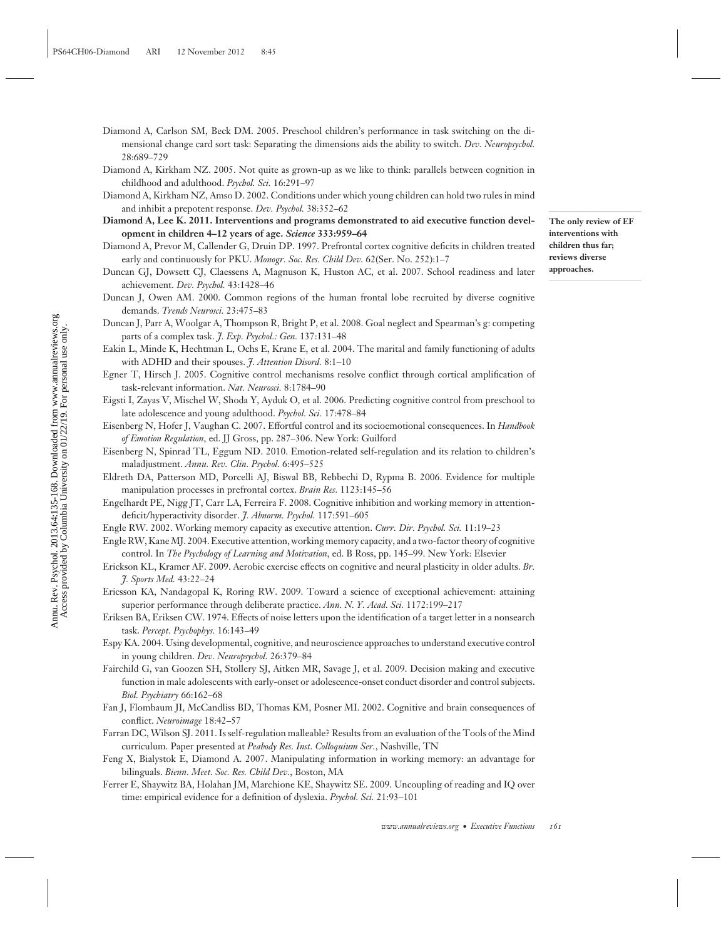- Diamond A, Carlson SM, Beck DM. 2005. Preschool children's performance in task switching on the dimensional change card sort task: Separating the dimensions aids the ability to switch. *Dev. Neuropsychol.* 28:689–729
- Diamond A, Kirkham NZ. 2005. Not quite as grown-up as we like to think: parallels between cognition in childhood and adulthood. *Psychol. Sci.* 16:291–97
- Diamond A, Kirkham NZ, Amso D. 2002. Conditions under which young children can hold two rules in mind and inhibit a prepotent response. *Dev. Psychol.* 38:352–62
- **Diamond A, Lee K. 2011. Interventions and programs demonstrated to aid executive function development in children 4–12 years of age.** *Science* **333:959–64**
- Diamond A, Prevor M, Callender G, Druin DP. 1997. Prefrontal cortex cognitive deficits in children treated early and continuously for PKU. *Monogr. Soc. Res. Child Dev.* 62(Ser. No. 252):1–7
- Duncan GJ, Dowsett CJ, Claessens A, Magnuson K, Huston AC, et al. 2007. School readiness and later achievement. *Dev. Psychol.* 43:1428–46
- Duncan J, Owen AM. 2000. Common regions of the human frontal lobe recruited by diverse cognitive demands. *Trends Neurosci.* 23:475–83
- Duncan J, Parr A, Woolgar A, Thompson R, Bright P, et al. 2008. Goal neglect and Spearman's g: competing parts of a complex task. *J. Exp. Psychol.: Gen.* 137:131–48
- Eakin L, Minde K, Hechtman L, Ochs E, Krane E, et al. 2004. The marital and family functioning of adults with ADHD and their spouses. *J. Attention Disord.* 8:1–10
- Egner T, Hirsch J. 2005. Cognitive control mechanisms resolve conflict through cortical amplification of task-relevant information. *Nat. Neurosci.* 8:1784–90
- Eigsti I, Zayas V, Mischel W, Shoda Y, Ayduk O, et al. 2006. Predicting cognitive control from preschool to late adolescence and young adulthood. *Psychol. Sci.* 17:478–84
- Eisenberg N, Hofer J, Vaughan C. 2007. Effortful control and its socioemotional consequences. In *Handbook of Emotion Regulation*, ed. JJ Gross, pp. 287–306. New York: Guilford
- Eisenberg N, Spinrad TL, Eggum ND. 2010. Emotion-related self-regulation and its relation to children's maladjustment. *Annu. Rev. Clin. Psychol.* 6:495–525
- Eldreth DA, Patterson MD, Porcelli AJ, Biswal BB, Rebbechi D, Rypma B. 2006. Evidence for multiple manipulation processes in prefrontal cortex. *Brain Res.* 1123:145–56
- Engelhardt PE, Nigg JT, Carr LA, Ferreira F. 2008. Cognitive inhibition and working memory in attentiondeficit/hyperactivity disorder. *J. Abnorm. Psychol.* 117:591–605
- Engle RW. 2002. Working memory capacity as executive attention. *Curr. Dir. Psychol. Sci.* 11:19–23
- Engle RW, Kane MJ. 2004. Executive attention, working memory capacity, and a two-factor theory of cognitive control. In *The Psychology of Learning and Motivation*, ed. B Ross, pp. 145–99. New York: Elsevier
- Erickson KL, Kramer AF. 2009. Aerobic exercise effects on cognitive and neural plasticity in older adults. *Br. J. Sports Med.* 43:22–24
- Ericsson KA, Nandagopal K, Roring RW. 2009. Toward a science of exceptional achievement: attaining superior performance through deliberate practice. *Ann. N. Y. Acad. Sci.* 1172:199–217
- Eriksen BA, Eriksen CW. 1974. Effects of noise letters upon the identification of a target letter in a nonsearch task. *Percept. Psychophys.* 16:143–49
- Espy KA. 2004. Using developmental, cognitive, and neuroscience approaches to understand executive control in young children. *Dev. Neuropsychol.* 26:379–84
- Fairchild G, van Goozen SH, Stollery SJ, Aitken MR, Savage J, et al. 2009. Decision making and executive function in male adolescents with early-onset or adolescence-onset conduct disorder and control subjects. *Biol. Psychiatry* 66:162–68
- Fan J, Flombaum JI, McCandliss BD, Thomas KM, Posner MI. 2002. Cognitive and brain consequences of conflict. *Neuroimage* 18:42–57
- Farran DC, Wilson SJ. 2011. Is self-regulation malleable? Results from an evaluation of the Tools of the Mind curriculum. Paper presented at *Peabody Res. Inst. Colloquium Ser.*, Nashville, TN
- Feng X, Bialystok E, Diamond A. 2007. Manipulating information in working memory: an advantage for bilinguals. *Bienn. Meet. Soc. Res. Child Dev.*, Boston, MA
- Ferrer E, Shaywitz BA, Holahan JM, Marchione KE, Shaywitz SE. 2009. Uncoupling of reading and IQ over time: empirical evidence for a definition of dyslexia. *Psychol. Sci.* 21:93–101

**The only review of EF interventions with children thus far; reviews diverse approaches.**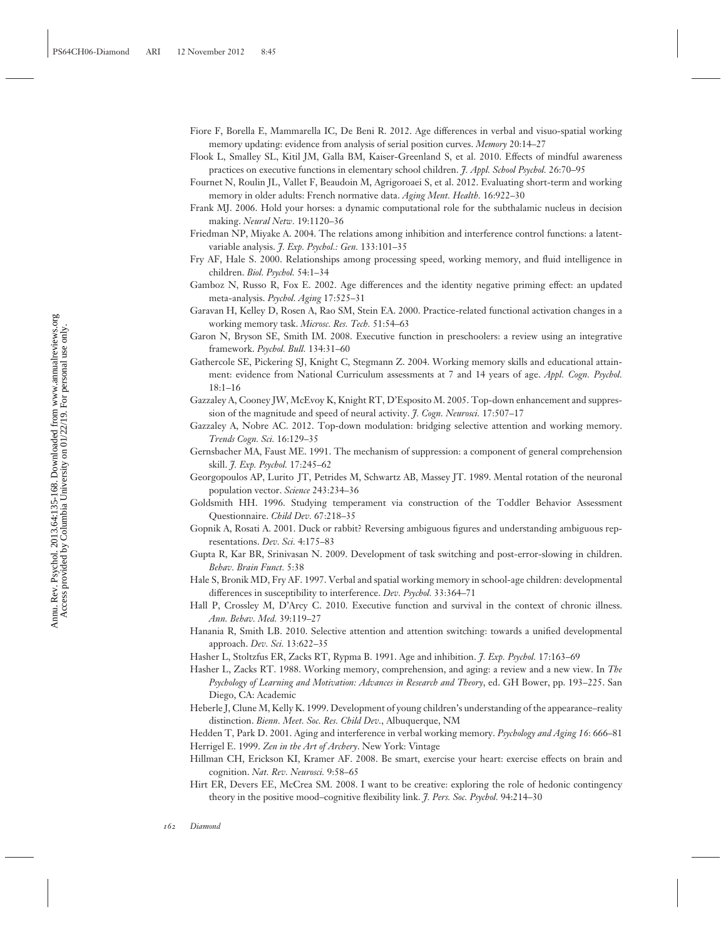- Fiore F, Borella E, Mammarella IC, De Beni R. 2012. Age differences in verbal and visuo-spatial working memory updating: evidence from analysis of serial position curves. *Memory* 20:14–27
- Flook L, Smalley SL, Kitil JM, Galla BM, Kaiser-Greenland S, et al. 2010. Effects of mindful awareness practices on executive functions in elementary school children. *J. Appl. School Psychol.* 26:70–95
- Fournet N, Roulin JL, Vallet F, Beaudoin M, Agrigoroaei S, et al. 2012. Evaluating short-term and working memory in older adults: French normative data. *Aging Ment. Health.* 16:922–30
- Frank MJ. 2006. Hold your horses: a dynamic computational role for the subthalamic nucleus in decision making. *Neural Netw.* 19:1120–36
- Friedman NP, Miyake A. 2004. The relations among inhibition and interference control functions: a latentvariable analysis. *J. Exp. Psychol.: Gen.* 133:101–35
- Fry AF, Hale S. 2000. Relationships among processing speed, working memory, and fluid intelligence in children. *Biol. Psychol.* 54:1–34
- Gamboz N, Russo R, Fox E. 2002. Age differences and the identity negative priming effect: an updated meta-analysis. *Psychol. Aging* 17:525–31
- Garavan H, Kelley D, Rosen A, Rao SM, Stein EA. 2000. Practice-related functional activation changes in a working memory task. *Microsc. Res. Tech.* 51:54–63
- Garon N, Bryson SE, Smith IM. 2008. Executive function in preschoolers: a review using an integrative framework. *Psychol. Bull.* 134:31–60
- Gathercole SE, Pickering SJ, Knight C, Stegmann Z. 2004. Working memory skills and educational attainment: evidence from National Curriculum assessments at 7 and 14 years of age. *Appl. Cogn. Psychol.* 18:1–16
- Gazzaley A, Cooney JW, McEvoy K, Knight RT, D'Esposito M. 2005. Top-down enhancement and suppression of the magnitude and speed of neural activity. *J. Cogn. Neurosci.* 17:507–17
- Gazzaley A, Nobre AC. 2012. Top-down modulation: bridging selective attention and working memory. *Trends Cogn. Sci.* 16:129–35
- Gernsbacher MA, Faust ME. 1991. The mechanism of suppression: a component of general comprehension skill. *J. Exp. Psychol.* 17:245–62
- Georgopoulos AP, Lurito JT, Petrides M, Schwartz AB, Massey JT. 1989. Mental rotation of the neuronal population vector. *Science* 243:234–36
- Goldsmith HH. 1996. Studying temperament via construction of the Toddler Behavior Assessment Questionnaire. *Child Dev.* 67:218–35
- Gopnik A, Rosati A. 2001. Duck or rabbit? Reversing ambiguous figures and understanding ambiguous representations. *Dev. Sci.* 4:175–83
- Gupta R, Kar BR, Srinivasan N. 2009. Development of task switching and post-error-slowing in children. *Behav. Brain Funct.* 5:38
- Hale S, Bronik MD, Fry AF. 1997. Verbal and spatial working memory in school-age children: developmental differences in susceptibility to interference. *Dev. Psychol.* 33:364–71
- Hall P, Crossley M, D'Arcy C. 2010. Executive function and survival in the context of chronic illness. *Ann. Behav. Med.* 39:119–27
- Hanania R, Smith LB. 2010. Selective attention and attention switching: towards a unified developmental approach. *Dev. Sci.* 13:622–35
- Hasher L, Stoltzfus ER, Zacks RT, Rypma B. 1991. Age and inhibition. *J. Exp. Psychol.* 17:163–69
- Hasher L, Zacks RT. 1988. Working memory, comprehension, and aging: a review and a new view. In *The Psychology of Learning and Motivation: Advances in Research and Theory*, ed. GH Bower, pp. 193–225. San Diego, CA: Academic
- Heberle J, Clune M, Kelly K. 1999. Development of young children's understanding of the appearance–reality distinction. *Bienn. Meet. Soc. Res. Child Dev.*, Albuquerque, NM

Hedden T, Park D. 2001. Aging and interference in verbal working memory. *Psychology and Aging 16*: 666–81

- Herrigel E. 1999. *Zen in the Art of Archery*. New York: Vintage
- Hillman CH, Erickson KI, Kramer AF. 2008. Be smart, exercise your heart: exercise effects on brain and cognition. *Nat. Rev. Neurosci.* 9:58–65
- Hirt ER, Devers EE, McCrea SM. 2008. I want to be creative: exploring the role of hedonic contingency theory in the positive mood–cognitive flexibility link. *J. Pers. Soc. Psychol.* 94:214–30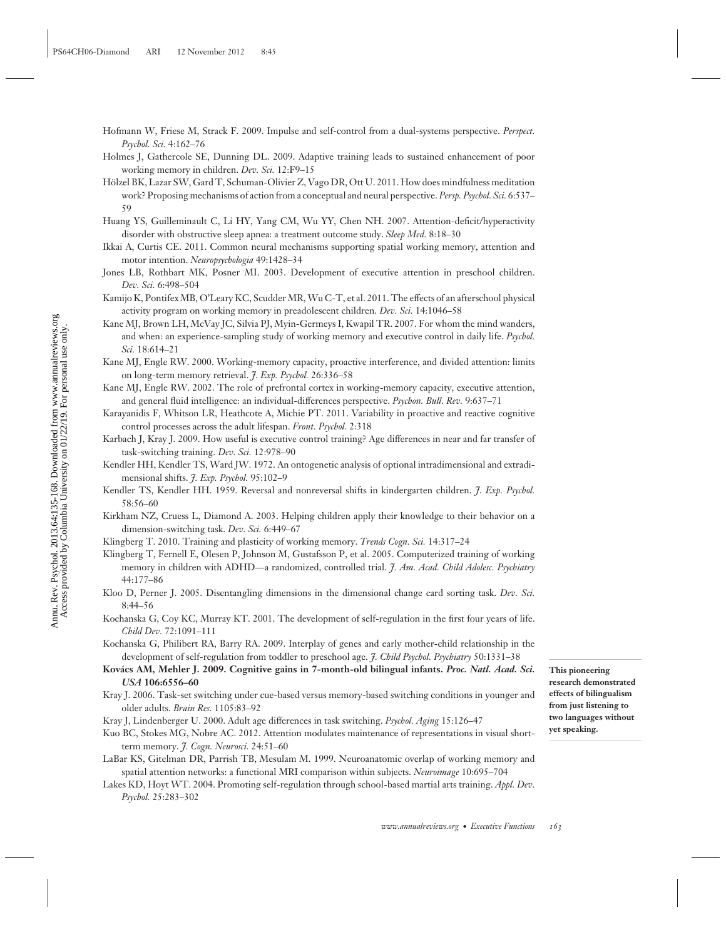Annu. Rev. Psychol. 2013.64:135-168. Downloaded from www.annualreviews.org<br>Access provided by Columbia University on 01/22/19. For personal use only. Annu. Rev. Psychol. 2013.64:135-168. Downloaded from www.annualreviews.org Access provided by Columbia University on 01/22/19. For personal use only.

- Hofmann W, Friese M, Strack F. 2009. Impulse and self-control from a dual-systems perspective. *Perspect. Psychol. Sci.* 4:162–76
- Holmes J, Gathercole SE, Dunning DL. 2009. Adaptive training leads to sustained enhancement of poor working memory in children. *Dev. Sci.* 12:F9–15
- Hölzel BK, Lazar SW, Gard T, Schuman-Olivier Z, Vago DR, Ott U. 2011. How does mindfulness meditation work? Proposing mechanisms of action from a conceptual and neural perspective. *Persp. Psychol. Sci.* 6:537– 59
- Huang YS, Guilleminault C, Li HY, Yang CM, Wu YY, Chen NH. 2007. Attention-deficit/hyperactivity disorder with obstructive sleep apnea: a treatment outcome study. *Sleep Med.* 8:18–30
- Ikkai A, Curtis CE. 2011. Common neural mechanisms supporting spatial working memory, attention and motor intention. *Neuropsychologia* 49:1428–34
- Jones LB, Rothbart MK, Posner MI. 2003. Development of executive attention in preschool children. *Dev. Sci.* 6:498–504
- Kamijo K, Pontifex MB, O'Leary KC, Scudder MR, Wu C-T, et al. 2011. The effects of an afterschool physical activity program on working memory in preadolescent children. *Dev. Sci.* 14:1046–58
- Kane MJ, Brown LH, McVay JC, Silvia PJ, Myin-Germeys I, Kwapil TR. 2007. For whom the mind wanders, and when: an experience-sampling study of working memory and executive control in daily life. *Psychol. Sci.* 18:614–21
- Kane MJ, Engle RW. 2000. Working-memory capacity, proactive interference, and divided attention: limits on long-term memory retrieval. *J. Exp. Psychol.* 26:336–58
- Kane MJ, Engle RW. 2002. The role of prefrontal cortex in working-memory capacity, executive attention, and general fluid intelligence: an individual-differences perspective. *Psychon. Bull. Rev.* 9:637–71
- Karayanidis F, Whitson LR, Heathcote A, Michie PT. 2011. Variability in proactive and reactive cognitive control processes across the adult lifespan. *Front. Psychol.* 2:318
- Karbach J, Kray J. 2009. How useful is executive control training? Age differences in near and far transfer of task-switching training. *Dev. Sci.* 12:978–90
- Kendler HH, Kendler TS, Ward JW. 1972. An ontogenetic analysis of optional intradimensional and extradimensional shifts. *J. Exp. Psychol.* 95:102–9
- Kendler TS, Kendler HH. 1959. Reversal and nonreversal shifts in kindergarten children. *J. Exp. Psychol.* 58:56–60
- Kirkham NZ, Cruess L, Diamond A. 2003. Helping children apply their knowledge to their behavior on a dimension-switching task. *Dev. Sci.* 6:449–67
- Klingberg T. 2010. Training and plasticity of working memory. *Trends Cogn. Sci.* 14:317–24
- Klingberg T, Fernell E, Olesen P, Johnson M, Gustafsson P, et al. 2005. Computerized training of working memory in children with ADHD—a randomized, controlled trial. *J. Am. Acad. Child Adolesc. Psychiatry* 44:177–86
- Kloo D, Perner J. 2005. Disentangling dimensions in the dimensional change card sorting task. *Dev. Sci.* 8:44–56
- Kochanska G, Coy KC, Murray KT. 2001. The development of self-regulation in the first four years of life. *Child Dev.* 72:1091–111
- Kochanska G, Philibert RA, Barry RA. 2009. Interplay of genes and early mother-child relationship in the development of self-regulation from toddler to preschool age. *J. Child Psychol. Psychiatry* 50:1331–38
- **Kovacs AM, Mehler J. 2009. Cognitive gains in 7-month-old bilingual infants. ´** *Proc. Natl. Acad. Sci. USA* **106:6556–60**
- Kray J. 2006. Task-set switching under cue-based versus memory-based switching conditions in younger and older adults. *Brain Res.* 1105:83–92
- Kray J, Lindenberger U. 2000. Adult age differences in task switching. *Psychol. Aging* 15:126–47
- Kuo BC, Stokes MG, Nobre AC. 2012. Attention modulates maintenance of representations in visual shortterm memory. *J. Cogn. Neurosci.* 24:51–60
- LaBar KS, Gitelman DR, Parrish TB, Mesulam M. 1999. Neuroanatomic overlap of working memory and spatial attention networks: a functional MRI comparison within subjects. *Neuroimage* 10:695–704
- Lakes KD, Hoyt WT. 2004. Promoting self-regulation through school-based martial arts training. *Appl. Dev. Psychol.* 25:283–302

**This pioneering research demonstrated effects of bilingualism from just listening to two languages without yet speaking.**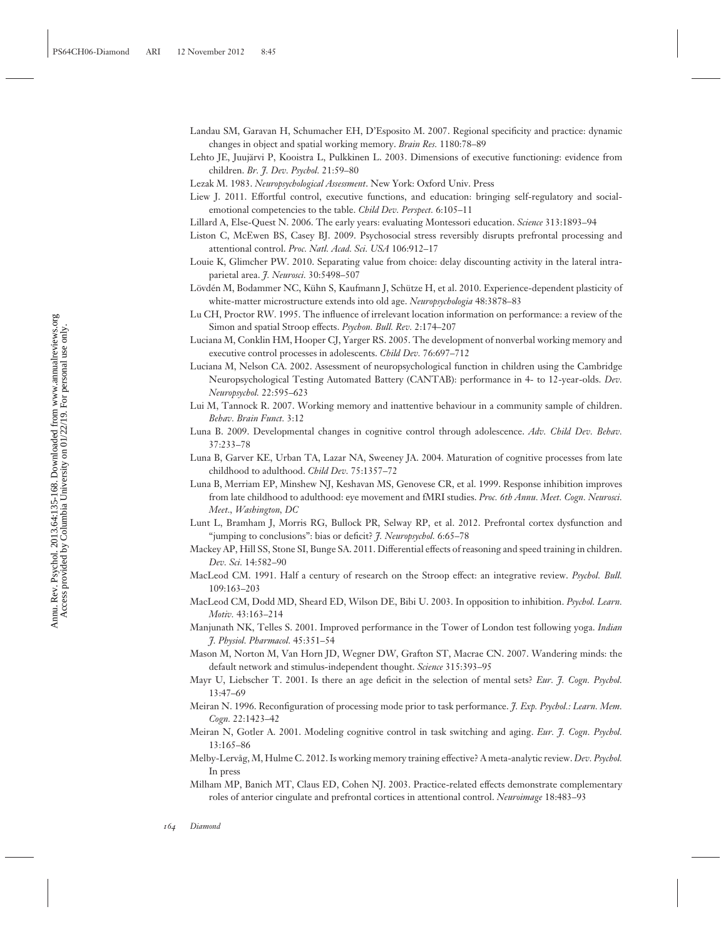- Landau SM, Garavan H, Schumacher EH, D'Esposito M. 2007. Regional specificity and practice: dynamic changes in object and spatial working memory. *Brain Res.* 1180:78–89
- Lehto JE, Juujarvi P, Kooistra L, Pulkkinen L. 2003. Dimensions of executive functioning: evidence from ¨ children. *Br. J. Dev. Psychol.* 21:59–80
- Lezak M. 1983. *Neuropsychological Assessment*. New York: Oxford Univ. Press
- Liew J. 2011. Effortful control, executive functions, and education: bringing self-regulatory and socialemotional competencies to the table. *Child Dev. Perspect.* 6:105–11
- Lillard A, Else-Quest N. 2006. The early years: evaluating Montessori education. *Science* 313:1893–94
- Liston C, McEwen BS, Casey BJ. 2009. Psychosocial stress reversibly disrupts prefrontal processing and attentional control. *Proc. Natl. Acad. Sci. USA* 106:912–17
- Louie K, Glimcher PW. 2010. Separating value from choice: delay discounting activity in the lateral intraparietal area. *J. Neurosci.* 30:5498–507
- Lövdén M, Bodammer NC, Kühn S, Kaufmann J, Schütze H, et al. 2010. Experience-dependent plasticity of white-matter microstructure extends into old age. *Neuropsychologia* 48:3878–83
- Lu CH, Proctor RW. 1995. The influence of irrelevant location information on performance: a review of the Simon and spatial Stroop effects. *Psychon. Bull. Rev.* 2:174–207
- Luciana M, Conklin HM, Hooper CJ, Yarger RS. 2005. The development of nonverbal working memory and executive control processes in adolescents. *Child Dev.* 76:697–712
- Luciana M, Nelson CA. 2002. Assessment of neuropsychological function in children using the Cambridge Neuropsychological Testing Automated Battery (CANTAB): performance in 4- to 12-year-olds. *Dev. Neuropsychol.* 22:595–623
- Lui M, Tannock R. 2007. Working memory and inattentive behaviour in a community sample of children. *Behav. Brain Funct.* 3:12
- Luna B. 2009. Developmental changes in cognitive control through adolescence. *Adv. Child Dev. Behav.* 37:233–78
- Luna B, Garver KE, Urban TA, Lazar NA, Sweeney JA. 2004. Maturation of cognitive processes from late childhood to adulthood. *Child Dev.* 75:1357–72
- Luna B, Merriam EP, Minshew NJ, Keshavan MS, Genovese CR, et al. 1999. Response inhibition improves from late childhood to adulthood: eye movement and fMRI studies. *Proc. 6th Annu. Meet. Cogn. Neurosci. Meet., Washington, DC*
- Lunt L, Bramham J, Morris RG, Bullock PR, Selway RP, et al. 2012. Prefrontal cortex dysfunction and "jumping to conclusions": bias or deficit? *J. Neuropsychol.* 6:65–78
- Mackey AP, Hill SS, Stone SI, Bunge SA. 2011. Differential effects of reasoning and speed training in children. *Dev. Sci.* 14:582–90
- MacLeod CM. 1991. Half a century of research on the Stroop effect: an integrative review. *Psychol. Bull.* 109:163–203
- MacLeod CM, Dodd MD, Sheard ED, Wilson DE, Bibi U. 2003. In opposition to inhibition. *Psychol. Learn. Motiv.* 43:163–214
- Manjunath NK, Telles S. 2001. Improved performance in the Tower of London test following yoga. *Indian J. Physiol. Pharmacol.* 45:351–54
- Mason M, Norton M, Van Horn JD, Wegner DW, Grafton ST, Macrae CN. 2007. Wandering minds: the default network and stimulus-independent thought. *Science* 315:393–95
- Mayr U, Liebscher T. 2001. Is there an age deficit in the selection of mental sets? *Eur. J. Cogn. Psychol.* 13:47–69
- Meiran N. 1996. Reconfiguration of processing mode prior to task performance. *J. Exp. Psychol.: Learn. Mem. Cogn.* 22:1423–42
- Meiran N, Gotler A. 2001. Modeling cognitive control in task switching and aging. *Eur. J. Cogn. Psychol.* 13:165–86
- Melby-Lervåg, M, Hulme C. 2012. Is working memory training effective? A meta-analytic review. *Dev. Psychol.* In press
- Milham MP, Banich MT, Claus ED, Cohen NJ. 2003. Practice-related effects demonstrate complementary roles of anterior cingulate and prefrontal cortices in attentional control. *Neuroimage* 18:483–93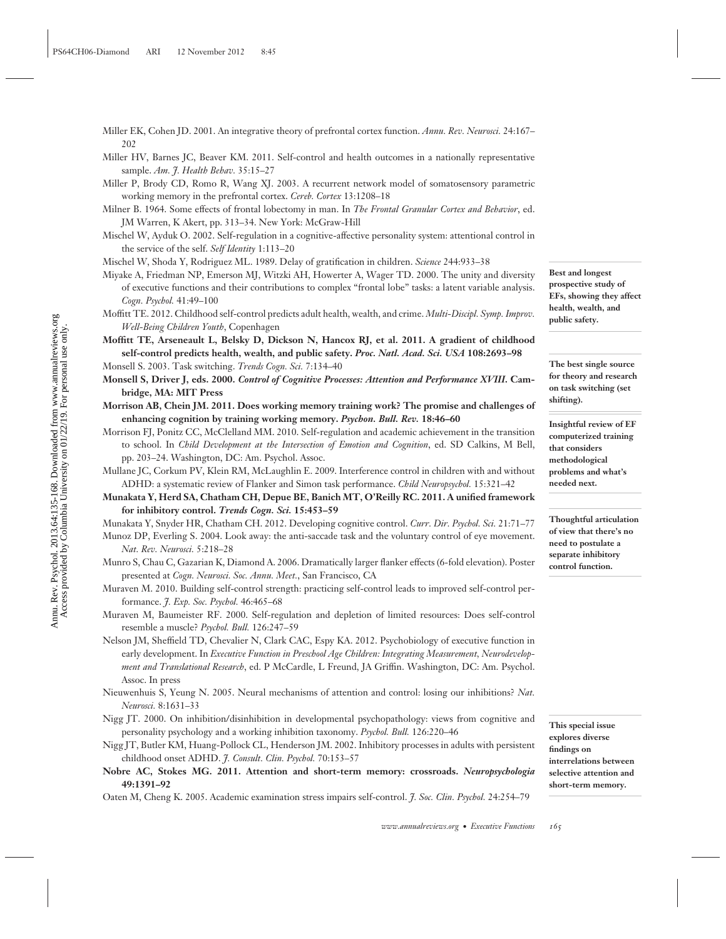- Miller EK, Cohen JD. 2001. An integrative theory of prefrontal cortex function. *Annu. Rev. Neurosci.* 24:167– 202
- Miller HV, Barnes JC, Beaver KM. 2011. Self-control and health outcomes in a nationally representative sample. *Am. J. Health Behav.* 35:15–27
- Miller P, Brody CD, Romo R, Wang XJ. 2003. A recurrent network model of somatosensory parametric working memory in the prefrontal cortex. *Cereb. Cortex* 13:1208–18
- Milner B. 1964. Some effects of frontal lobectomy in man. In *The Frontal Granular Cortex and Behavior*, ed. JM Warren, K Akert, pp. 313–34. New York: McGraw-Hill
- Mischel W, Ayduk O. 2002. Self-regulation in a cognitive-affective personality system: attentional control in the service of the self. *Self Identity* 1:113–20
- Mischel W, Shoda Y, Rodriguez ML. 1989. Delay of gratification in children. *Science* 244:933–38
- Miyake A, Friedman NP, Emerson MJ, Witzki AH, Howerter A, Wager TD. 2000. The unity and diversity of executive functions and their contributions to complex "frontal lobe" tasks: a latent variable analysis. *Cogn. Psychol.* 41:49–100
- Moffitt TE. 2012. Childhood self-control predicts adult health, wealth, and crime. *Multi-Discipl. Symp. Improv. Well-Being Children Youth*, Copenhagen
- **Moffitt TE, Arseneault L, Belsky D, Dickson N, Hancox RJ, et al. 2011. A gradient of childhood self-control predicts health, wealth, and public safety.** *Proc. Natl. Acad. Sci. USA* **108:2693–98** Monsell S. 2003. Task switching. *Trends Cogn. Sci.* 7:134–40 **The best single source**
- **Monsell S, Driver J, eds. 2000.** *Control of Cognitive Processes: Attention and Performance XVIII***. Cambridge, MA: MIT Press**
- **Morrison AB, Chein JM. 2011. Does working memory training work? The promise and challenges of enhancing cognition by training working memory.** *Psychon. Bull. Rev.* **18:46–60**
- Morrison FJ, Ponitz CC, McClelland MM. 2010. Self-regulation and academic achievement in the transition to school. In *Child Development at the Intersection of Emotion and Cognition*, ed. SD Calkins, M Bell, pp. 203–24. Washington, DC: Am. Psychol. Assoc.
- Mullane JC, Corkum PV, Klein RM, McLaughlin E. 2009. Interference control in children with and without ADHD: a systematic review of Flanker and Simon task performance. *Child Neuropsychol.* 15:321–42
- **Munakata Y, Herd SA, Chatham CH, Depue BE, Banich MT, O'Reilly RC. 2011. A unified framework for inhibitory control.** *Trends Cogn. Sci.* **15:453–59**

Munakata Y, Snyder HR, Chatham CH. 2012. Developing cognitive control. *Curr. Dir. Psychol. Sci.* 21:71–77

- Munoz DP, Everling S. 2004. Look away: the anti-saccade task and the voluntary control of eye movement. *Nat. Rev. Neurosci.* 5:218–28
- Munro S, Chau C, Gazarian K, Diamond A. 2006. Dramatically larger flanker effects (6-fold elevation). Poster presented at *Cogn. Neurosci. Soc. Annu. Meet.*, San Francisco, CA
- Muraven M. 2010. Building self-control strength: practicing self-control leads to improved self-control performance. *J. Exp. Soc. Psychol.* 46:465–68
- Muraven M, Baumeister RF. 2000. Self-regulation and depletion of limited resources: Does self-control resemble a muscle? *Psychol. Bull.* 126:247–59
- Nelson JM, Sheffield TD, Chevalier N, Clark CAC, Espy KA. 2012. Psychobiology of executive function in early development. In *Executive Function in Preschool Age Children: Integrating Measurement, Neurodevelopment and Translational Research*, ed. P McCardle, L Freund, JA Griffin. Washington, DC: Am. Psychol. Assoc. In press
- Nieuwenhuis S, Yeung N. 2005. Neural mechanisms of attention and control: losing our inhibitions? *Nat. Neurosci.* 8:1631–33
- Nigg JT. 2000. On inhibition/disinhibition in developmental psychopathology: views from cognitive and personality psychology and a working inhibition taxonomy. *Psychol. Bull.* 126:220–46
- Nigg JT, Butler KM, Huang-Pollock CL, Henderson JM. 2002. Inhibitory processes in adults with persistent childhood onset ADHD. *J. Consult. Clin. Psychol.* 70:153–57
- **Nobre AC, Stokes MG. 2011. Attention and short-term memory: crossroads.** *Neuropsychologia* **49:1391–92**

Oaten M, Cheng K. 2005. Academic examination stress impairs self-control. *J. Soc. Clin. Psychol.* 24:254–79

**Best and longest prospective study of EFs, showing they affect health, wealth, and public safety.**

**for theory and research on task switching (set shifting).**

**Insightful review of EF computerized training that considers methodological problems and what's needed next.**

**Thoughtful articulation of view that there's no need to postulate a separate inhibitory control function.**

**This special issue explores diverse findings on interrelations between selective attention and short-term memory.**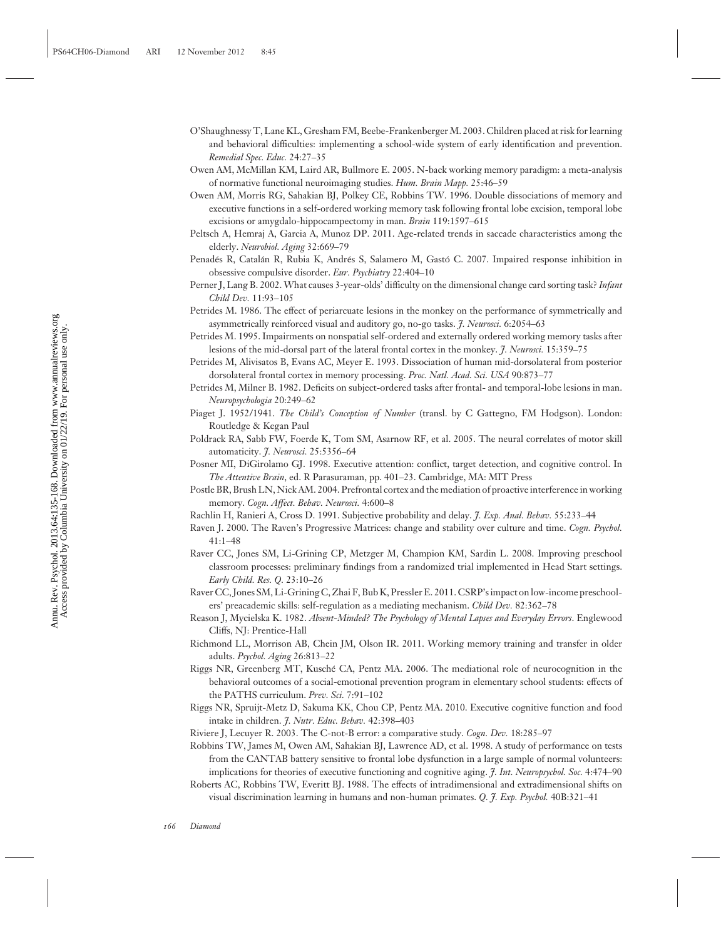- O'Shaughnessy T, Lane KL, Gresham FM, Beebe-Frankenberger M. 2003. Children placed at risk for learning and behavioral difficulties: implementing a school-wide system of early identification and prevention. *Remedial Spec. Educ.* 24:27–35
- Owen AM, McMillan KM, Laird AR, Bullmore E. 2005. N-back working memory paradigm: a meta-analysis of normative functional neuroimaging studies. *Hum. Brain Mapp.* 25:46–59
- Owen AM, Morris RG, Sahakian BJ, Polkey CE, Robbins TW. 1996. Double dissociations of memory and executive functions in a self-ordered working memory task following frontal lobe excision, temporal lobe excisions or amygdalo-hippocampectomy in man. *Brain* 119:1597–615
- Peltsch A, Hemraj A, Garcia A, Munoz DP. 2011. Age-related trends in saccade characteristics among the elderly. *Neurobiol. Aging* 32:669–79
- Penadés R, Catalán R, Rubia K, Andrés S, Salamero M, Gastó C. 2007. Impaired response inhibition in obsessive compulsive disorder. *Eur. Psychiatry* 22:404–10
- Perner J, Lang B. 2002. What causes 3-year-olds' difficulty on the dimensional change card sorting task? *Infant Child Dev.* 11:93–105
- Petrides M. 1986. The effect of periarcuate lesions in the monkey on the performance of symmetrically and asymmetrically reinforced visual and auditory go, no-go tasks. *J. Neurosci.* 6:2054–63
- Petrides M. 1995. Impairments on nonspatial self-ordered and externally ordered working memory tasks after lesions of the mid-dorsal part of the lateral frontal cortex in the monkey. *J. Neurosci.* 15:359–75
- Petrides M, Alivisatos B, Evans AC, Meyer E. 1993. Dissociation of human mid-dorsolateral from posterior dorsolateral frontal cortex in memory processing. *Proc. Natl. Acad. Sci. USA* 90:873–77
- Petrides M, Milner B. 1982. Deficits on subject-ordered tasks after frontal- and temporal-lobe lesions in man. *Neuropsychologia* 20:249–62
- Piaget J. 1952/1941. *The Child's Conception of Number* (transl. by C Gattegno, FM Hodgson). London: Routledge & Kegan Paul
- Poldrack RA, Sabb FW, Foerde K, Tom SM, Asarnow RF, et al. 2005. The neural correlates of motor skill automaticity. *J. Neurosci.* 25:5356–64
- Posner MI, DiGirolamo GJ. 1998. Executive attention: conflict, target detection, and cognitive control. In *The Attentive Brain*, ed. R Parasuraman, pp. 401–23. Cambridge, MA: MIT Press
- Postle BR, Brush LN, Nick AM. 2004. Prefrontal cortex and the mediation of proactive interference in working memory. *Cogn. Affect. Behav. Neurosci.* 4:600–8
- Rachlin H, Ranieri A, Cross D. 1991. Subjective probability and delay. *J. Exp. Anal. Behav.* 55:233–44
- Raven J. 2000. The Raven's Progressive Matrices: change and stability over culture and time. *Cogn. Psychol.* 41:1–48
- Raver CC, Jones SM, Li-Grining CP, Metzger M, Champion KM, Sardin L. 2008. Improving preschool classroom processes: preliminary findings from a randomized trial implemented in Head Start settings. *Early Child. Res. Q.* 23:10–26
- Raver CC, Jones SM, Li-Grining C, Zhai F, Bub K, Pressler E. 2011. CSRP's impact on low-income preschoolers' preacademic skills: self-regulation as a mediating mechanism. *Child Dev.* 82:362–78
- Reason J, Mycielska K. 1982. *Absent-Minded? The Psychology of Mental Lapses and Everyday Errors*. Englewood Cliffs, NJ: Prentice-Hall
- Richmond LL, Morrison AB, Chein JM, Olson IR. 2011. Working memory training and transfer in older adults. *Psychol. Aging* 26:813–22
- Riggs NR, Greenberg MT, Kusche CA, Pentz MA. 2006. The mediational role of neurocognition in the ´ behavioral outcomes of a social-emotional prevention program in elementary school students: effects of the PATHS curriculum. *Prev. Sci.* 7:91–102
- Riggs NR, Spruijt-Metz D, Sakuma KK, Chou CP, Pentz MA. 2010. Executive cognitive function and food intake in children. *J. Nutr. Educ. Behav.* 42:398–403
- Riviere J, Lecuyer R. 2003. The C-not-B error: a comparative study. *Cogn. Dev.* 18:285–97
- Robbins TW, James M, Owen AM, Sahakian BJ, Lawrence AD, et al. 1998. A study of performance on tests from the CANTAB battery sensitive to frontal lobe dysfunction in a large sample of normal volunteers: implications for theories of executive functioning and cognitive aging. *J. Int. Neuropsychol. Soc.* 4:474–90
- Roberts AC, Robbins TW, Everitt BJ. 1988. The effects of intradimensional and extradimensional shifts on visual discrimination learning in humans and non-human primates. *Q. J. Exp. Psychol.* 40B:321–41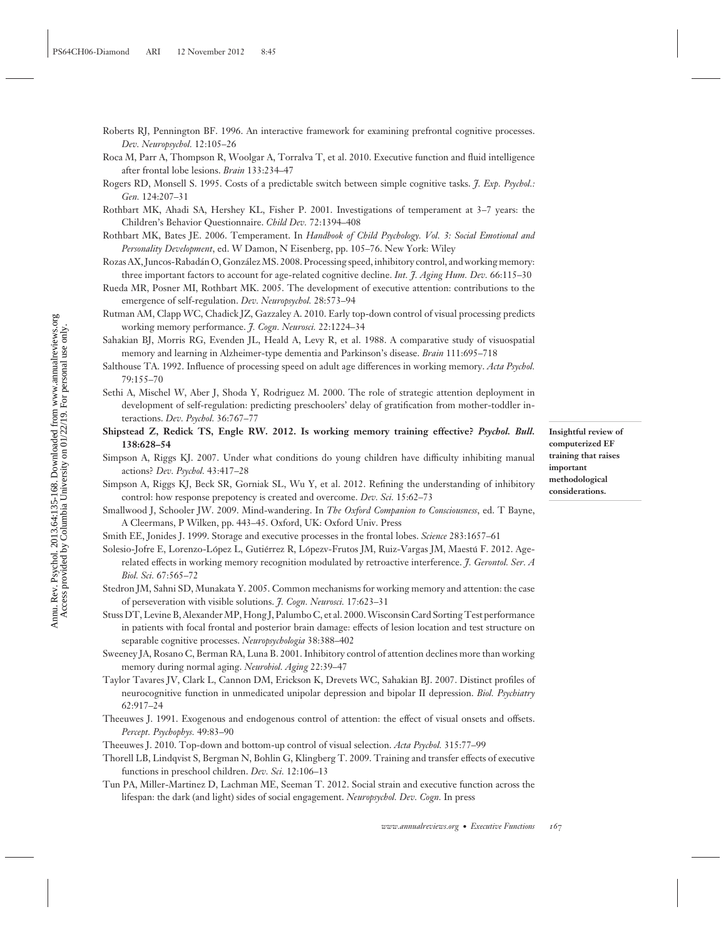Annu. Rev. Psychol. 2013.64:135-168. Downloaded from www.annualreviews.org<br>Access provided by Columbia University on 01/22/19. For personal use only. Annu. Rev. Psychol. 2013.64:135-168. Downloaded from www.annualreviews.org Access provided by Columbia University on 01/22/19. For personal use only.

- Roberts RJ, Pennington BF. 1996. An interactive framework for examining prefrontal cognitive processes. *Dev. Neuropsychol.* 12:105–26
- Roca M, Parr A, Thompson R, Woolgar A, Torralva T, et al. 2010. Executive function and fluid intelligence after frontal lobe lesions. *Brain* 133:234–47
- Rogers RD, Monsell S. 1995. Costs of a predictable switch between simple cognitive tasks. *J. Exp. Psychol.: Gen.* 124:207–31
- Rothbart MK, Ahadi SA, Hershey KL, Fisher P. 2001. Investigations of temperament at 3–7 years: the Children's Behavior Questionnaire. *Child Dev.* 72:1394–408
- Rothbart MK, Bates JE. 2006. Temperament. In *Handbook of Child Psychology. Vol. 3: Social Emotional and Personality Development*, ed. W Damon, N Eisenberg, pp. 105–76. New York: Wiley
- Rozas AX, Juncos-Rabadán O, González MS. 2008. Processing speed, inhibitory control, and working memory: three important factors to account for age-related cognitive decline. *Int. J. Aging Hum. Dev.* 66:115–30
- Rueda MR, Posner MI, Rothbart MK. 2005. The development of executive attention: contributions to the emergence of self-regulation. *Dev. Neuropsychol.* 28:573–94
- Rutman AM, Clapp WC, Chadick JZ, Gazzaley A. 2010. Early top-down control of visual processing predicts working memory performance. *J. Cogn. Neurosci.* 22:1224–34
- Sahakian BJ, Morris RG, Evenden JL, Heald A, Levy R, et al. 1988. A comparative study of visuospatial memory and learning in Alzheimer-type dementia and Parkinson's disease. *Brain* 111:695–718
- Salthouse TA. 1992. Influence of processing speed on adult age differences in working memory. *Acta Psychol.* 79:155–70
- Sethi A, Mischel W, Aber J, Shoda Y, Rodriguez M. 2000. The role of strategic attention deployment in development of self-regulation: predicting preschoolers' delay of gratification from mother-toddler interactions. *Dev. Psychol.* 36:767–77
- **Shipstead Z, Redick TS, Engle RW. 2012. Is working memory training effective?** *Psychol. Bull.* **138:628–54**
- Simpson A, Riggs KJ. 2007. Under what conditions do young children have difficulty inhibiting manual actions? *Dev. Psychol.* 43:417–28
- Simpson A, Riggs KJ, Beck SR, Gorniak SL, Wu Y, et al. 2012. Refining the understanding of inhibitory control: how response prepotency is created and overcome. *Dev. Sci.* 15:62–73
- Smallwood J, Schooler JW. 2009. Mind-wandering. In *The Oxford Companion to Consciousness*, ed. T Bayne, A Cleermans, P Wilken, pp. 443–45. Oxford, UK: Oxford Univ. Press

Smith EE, Jonides J. 1999. Storage and executive processes in the frontal lobes. *Science* 283:1657–61

- Solesio-Jofre E, Lorenzo-López L, Gutiérrez R, Lópezv-Frutos JM, Ruiz-Vargas JM, Maestú F. 2012. Agerelated effects in working memory recognition modulated by retroactive interference. *J. Gerontol. Ser. A Biol. Sci.* 67:565–72
- Stedron JM, Sahni SD, Munakata Y. 2005. Common mechanisms for working memory and attention: the case of perseveration with visible solutions. *J. Cogn. Neurosci.* 17:623–31
- Stuss DT, Levine B, Alexander MP, Hong J, Palumbo C, et al. 2000. Wisconsin Card Sorting Test performance in patients with focal frontal and posterior brain damage: effects of lesion location and test structure on separable cognitive processes. *Neuropsychologia* 38:388–402
- Sweeney JA, Rosano C, Berman RA, Luna B. 2001. Inhibitory control of attention declines more than working memory during normal aging. *Neurobiol. Aging* 22:39–47
- Taylor Tavares JV, Clark L, Cannon DM, Erickson K, Drevets WC, Sahakian BJ. 2007. Distinct profiles of neurocognitive function in unmedicated unipolar depression and bipolar II depression. *Biol. Psychiatry* 62:917–24
- Theeuwes J. 1991. Exogenous and endogenous control of attention: the effect of visual onsets and offsets. *Percept. Psychophys.* 49:83–90
- Theeuwes J. 2010. Top-down and bottom-up control of visual selection. *Acta Psychol.* 315:77–99
- Thorell LB, Lindqvist S, Bergman N, Bohlin G, Klingberg T. 2009. Training and transfer effects of executive functions in preschool children. *Dev. Sci.* 12:106–13
- Tun PA, Miller-Martinez D, Lachman ME, Seeman T. 2012. Social strain and executive function across the lifespan: the dark (and light) sides of social engagement. *Neuropsychol. Dev. Cogn.* In press

**Insightful review of computerized EF training that raises important methodological considerations.**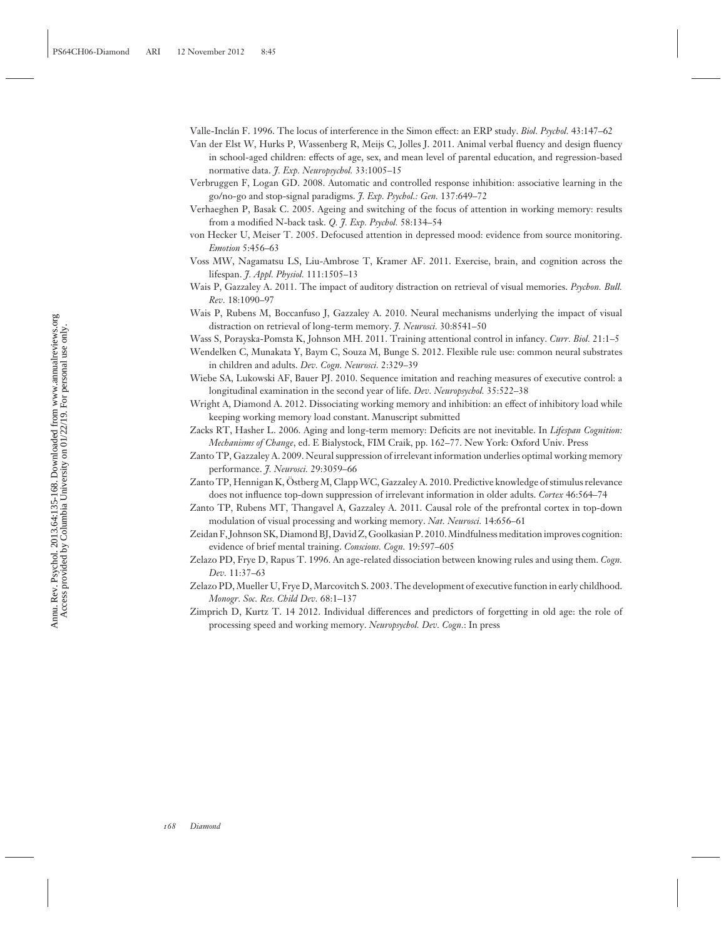Valle-Inclán F. 1996. The locus of interference in the Simon effect: an ERP study. *Biol. Psychol.* 43:147–62

- Van der Elst W, Hurks P, Wassenberg R, Meijs C, Jolles J. 2011. Animal verbal fluency and design fluency in school-aged children: effects of age, sex, and mean level of parental education, and regression-based normative data. *J. Exp. Neuropsychol.* 33:1005–15
- Verbruggen F, Logan GD. 2008. Automatic and controlled response inhibition: associative learning in the go/no-go and stop-signal paradigms. *J. Exp. Psychol.: Gen.* 137:649–72
- Verhaeghen P, Basak C. 2005. Ageing and switching of the focus of attention in working memory: results from a modified N-back task. *Q. J. Exp. Psychol.* 58:134–54
- von Hecker U, Meiser T. 2005. Defocused attention in depressed mood: evidence from source monitoring. *Emotion* 5:456–63
- Voss MW, Nagamatsu LS, Liu-Ambrose T, Kramer AF. 2011. Exercise, brain, and cognition across the lifespan. *J. Appl. Physiol.* 111:1505–13
- Wais P, Gazzaley A. 2011. The impact of auditory distraction on retrieval of visual memories. *Psychon. Bull. Rev.* 18:1090–97
- Wais P, Rubens M, Boccanfuso J, Gazzaley A. 2010. Neural mechanisms underlying the impact of visual distraction on retrieval of long-term memory. *J. Neurosci.* 30:8541–50
- Wass S, Porayska-Pomsta K, Johnson MH. 2011. Training attentional control in infancy. *Curr. Biol.* 21:1–5
- Wendelken C, Munakata Y, Baym C, Souza M, Bunge S. 2012. Flexible rule use: common neural substrates in children and adults. *Dev. Cogn. Neurosci.* 2:329–39
- Wiebe SA, Lukowski AF, Bauer PJ. 2010. Sequence imitation and reaching measures of executive control: a longitudinal examination in the second year of life. *Dev. Neuropsychol.* 35:522–38
- Wright A, Diamond A. 2012. Dissociating working memory and inhibition: an effect of inhibitory load while keeping working memory load constant. Manuscript submitted
- Zacks RT, Hasher L. 2006. Aging and long-term memory: Deficits are not inevitable. In *Lifespan Cognition: Mechanisms of Change*, ed. E Bialystock, FIM Craik, pp. 162–77. New York: Oxford Univ. Press
- Zanto TP, Gazzaley A. 2009. Neural suppression of irrelevant information underlies optimal working memory performance. *J. Neurosci.* 29:3059–66
- Zanto TP, Hennigan K, Ostberg M, Clapp WC, Gazzaley A. 2010. Predictive knowledge of stimulus relevance ¨ does not influence top-down suppression of irrelevant information in older adults. *Cortex* 46:564–74
- Zanto TP, Rubens MT, Thangavel A, Gazzaley A. 2011. Causal role of the prefrontal cortex in top-down modulation of visual processing and working memory. *Nat. Neurosci.* 14:656–61
- Zeidan F, Johnson SK, Diamond BJ, David Z, Goolkasian P. 2010. Mindfulness meditation improves cognition: evidence of brief mental training. *Conscious. Cogn.* 19:597–605
- Zelazo PD, Frye D, Rapus T. 1996. An age-related dissociation between knowing rules and using them. *Cogn. Dev.* 11:37–63
- Zelazo PD, Mueller U, Frye D, Marcovitch S. 2003. The development of executive function in early childhood. *Monogr. Soc. Res. Child Dev.* 68:1–137
- Zimprich D, Kurtz T. 14 2012. Individual differences and predictors of forgetting in old age: the role of processing speed and working memory. *Neuropsychol. Dev. Cogn.*: In press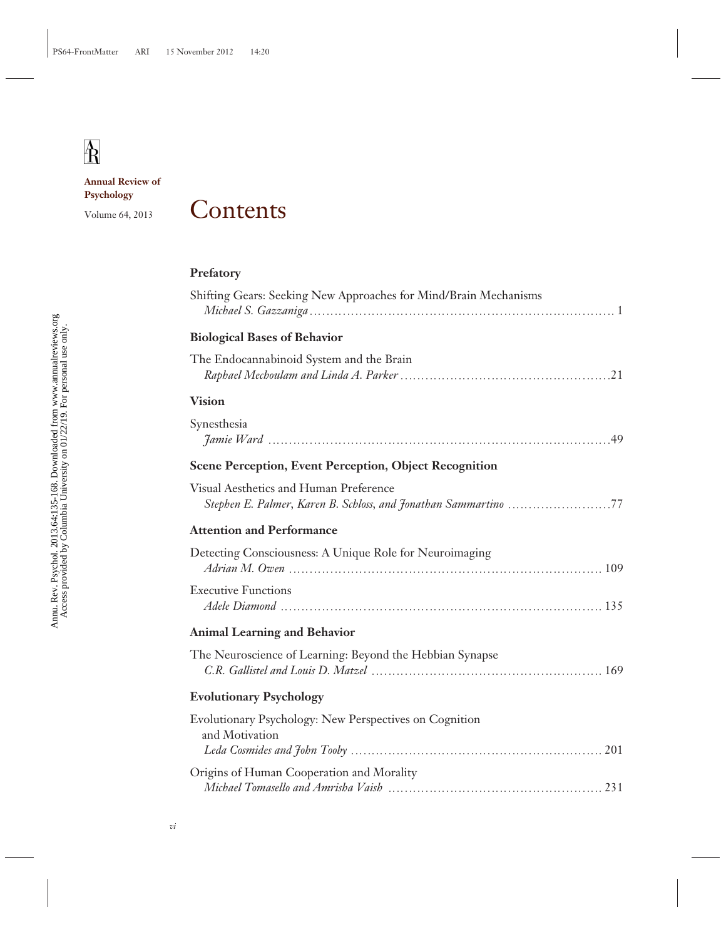**Annual Review of Psychology**

# Volume 64, 2013 Contents

# **Prefatory**

| Shifting Gears: Seeking New Approaches for Mind/Brain Mechanisms                                          |
|-----------------------------------------------------------------------------------------------------------|
| <b>Biological Bases of Behavior</b>                                                                       |
| The Endocannabinoid System and the Brain                                                                  |
| <b>Vision</b>                                                                                             |
| Synesthesia                                                                                               |
| <b>Scene Perception, Event Perception, Object Recognition</b>                                             |
| Visual Aesthetics and Human Preference<br>Stephen E. Palmer, Karen B. Schloss, and Jonathan Sammartino 77 |
| <b>Attention and Performance</b>                                                                          |
| Detecting Consciousness: A Unique Role for Neuroimaging                                                   |
| <b>Executive Functions</b>                                                                                |
| <b>Animal Learning and Behavior</b>                                                                       |
| The Neuroscience of Learning: Beyond the Hebbian Synapse                                                  |
| <b>Evolutionary Psychology</b>                                                                            |
| Evolutionary Psychology: New Perspectives on Cognition<br>and Motivation                                  |
| Origins of Human Cooperation and Morality                                                                 |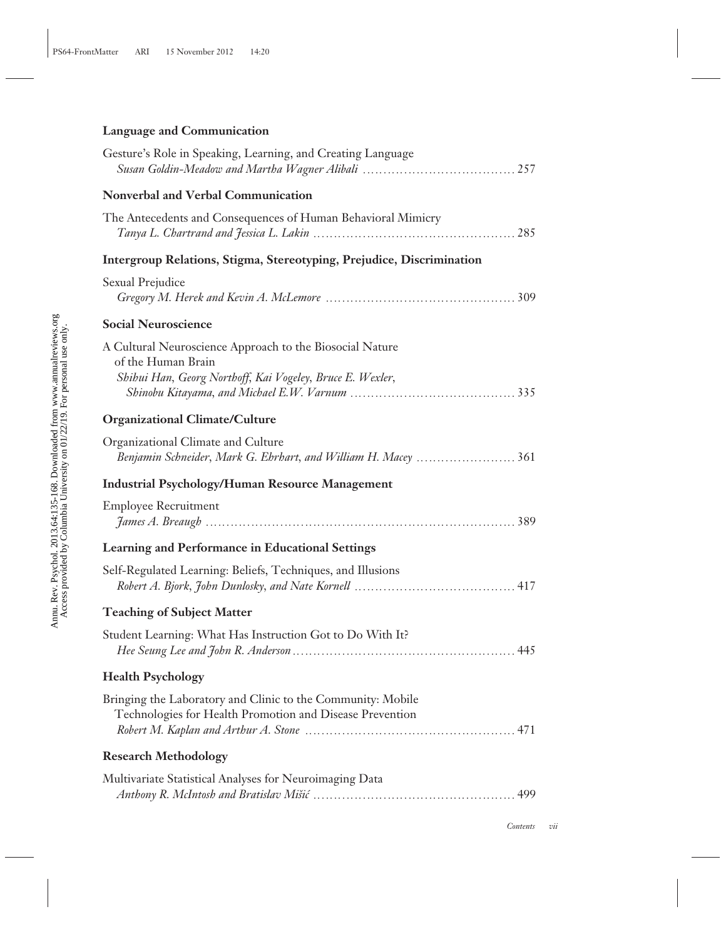# **Language and Communication**

| Gesture's Role in Speaking, Learning, and Creating Language                                                                                 |  |
|---------------------------------------------------------------------------------------------------------------------------------------------|--|
| Nonverbal and Verbal Communication                                                                                                          |  |
| The Antecedents and Consequences of Human Behavioral Mimicry                                                                                |  |
| Intergroup Relations, Stigma, Stereotyping, Prejudice, Discrimination                                                                       |  |
| Sexual Prejudice                                                                                                                            |  |
| <b>Social Neuroscience</b>                                                                                                                  |  |
| A Cultural Neuroscience Approach to the Biosocial Nature<br>of the Human Brain<br>Shihui Han, Georg Northoff, Kai Vogeley, Bruce E. Wexler, |  |
| <b>Organizational Climate/Culture</b>                                                                                                       |  |
| Organizational Climate and Culture<br>Benjamin Schneider, Mark G. Ehrhart, and William H. Macey  361                                        |  |
| <b>Industrial Psychology/Human Resource Management</b>                                                                                      |  |
| <b>Employee Recruitment</b>                                                                                                                 |  |
| <b>Learning and Performance in Educational Settings</b>                                                                                     |  |
| Self-Regulated Learning: Beliefs, Techniques, and Illusions                                                                                 |  |
| <b>Teaching of Subject Matter</b>                                                                                                           |  |
| Student Learning: What Has Instruction Got to Do With It?                                                                                   |  |
| <b>Health Psychology</b>                                                                                                                    |  |
| Bringing the Laboratory and Clinic to the Community: Mobile<br>Technologies for Health Promotion and Disease Prevention                     |  |
| <b>Research Methodology</b>                                                                                                                 |  |
| Multivariate Statistical Analyses for Neuroimaging Data                                                                                     |  |
|                                                                                                                                             |  |